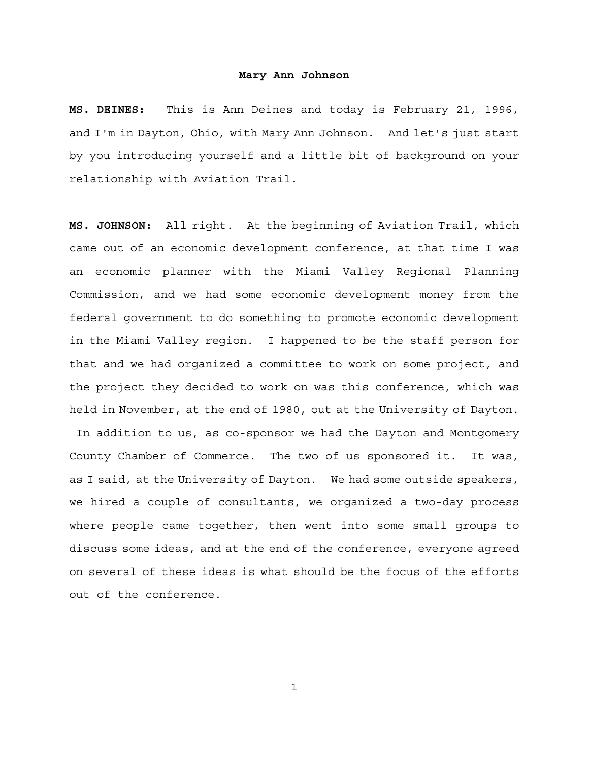**MS. DEINES:** This is Ann Deines and today is February 21, 1996, and I'm in Dayton, Ohio, with Mary Ann Johnson. And let's just start by you introducing yourself and a little bit of background on your relationship with Aviation Trail.

**MS. JOHNSON:** All right. At the beginning of Aviation Trail, which came out of an economic development conference, at that time I was an economic planner with the Miami Valley Regional Planning Commission, and we had some economic development money from the federal government to do something to promote economic development in the Miami Valley region. I happened to be the staff person for that and we had organized a committee to work on some project, and the project they decided to work on was this conference, which was held in November, at the end of 1980, out at the University of Dayton. In addition to us, as co-sponsor we had the Dayton and Montgomery County Chamber of Commerce. The two of us sponsored it. It was, as I said, at the University of Dayton. We had some outside speakers, we hired a couple of consultants, we organized a two-day process where people came together, then went into some small groups to discuss some ideas, and at the end of the conference, everyone agreed on several of these ideas is what should be the focus of the efforts out of the conference.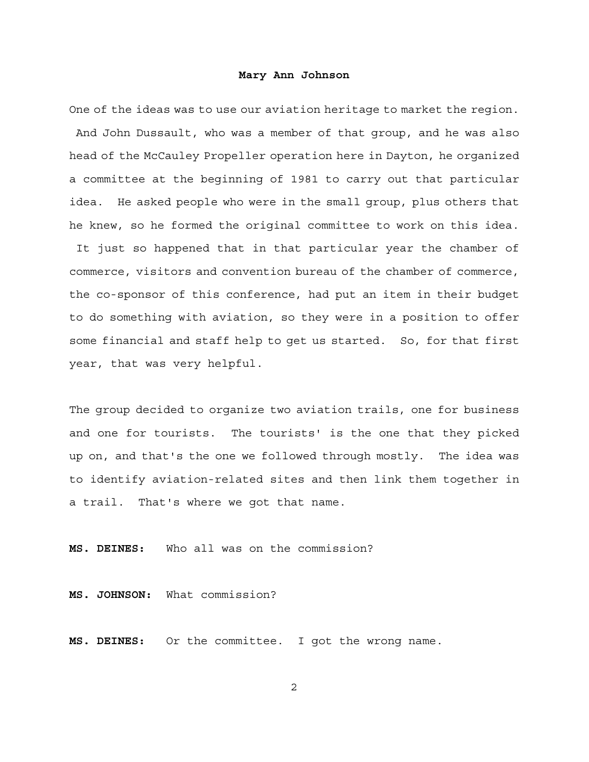One of the ideas was to use our aviation heritage to market the region. And John Dussault, who was a member of that group, and he was also head of the McCauley Propeller operation here in Dayton, he organized a committee at the beginning of 1981 to carry out that particular idea. He asked people who were in the small group, plus others that he knew, so he formed the original committee to work on this idea.

 It just so happened that in that particular year the chamber of commerce, visitors and convention bureau of the chamber of commerce, the co-sponsor of this conference, had put an item in their budget to do something with aviation, so they were in a position to offer some financial and staff help to get us started. So, for that first year, that was very helpful.

The group decided to organize two aviation trails, one for business and one for tourists. The tourists' is the one that they picked up on, and that's the one we followed through mostly. The idea was to identify aviation-related sites and then link them together in a trail. That's where we got that name.

**MS. DEINES:** Who all was on the commission?

**MS. JOHNSON:** What commission?

**MS. DEINES:** Or the committee. I got the wrong name.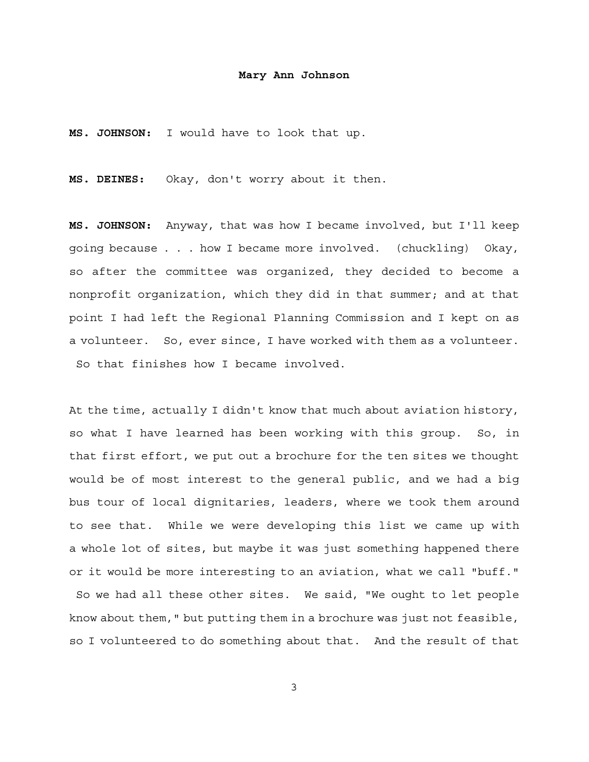**MS. JOHNSON:** I would have to look that up.

**MS. DEINES:** Okay, don't worry about it then.

**MS. JOHNSON:** Anyway, that was how I became involved, but I'll keep going because . . . how I became more involved. (chuckling) Okay, so after the committee was organized, they decided to become a nonprofit organization, which they did in that summer; and at that point I had left the Regional Planning Commission and I kept on as a volunteer. So, ever since, I have worked with them as a volunteer. So that finishes how I became involved.

At the time, actually I didn't know that much about aviation history, so what I have learned has been working with this group. So, in that first effort, we put out a brochure for the ten sites we thought would be of most interest to the general public, and we had a big bus tour of local dignitaries, leaders, where we took them around to see that. While we were developing this list we came up with a whole lot of sites, but maybe it was just something happened there or it would be more interesting to an aviation, what we call "buff." So we had all these other sites. We said, "We ought to let people

so I volunteered to do something about that. And the result of that

know about them," but putting them in a brochure was just not feasible,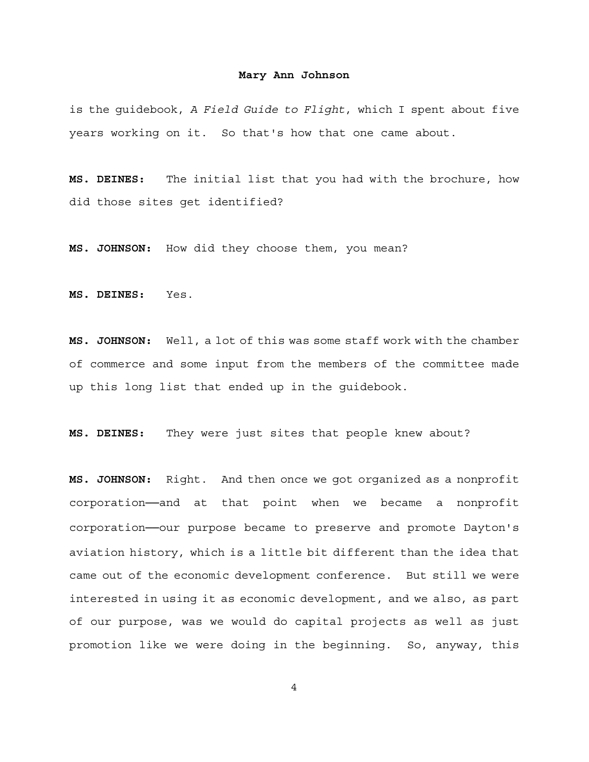is the guidebook, *A Field Guide to Flight*, which I spent about five years working on it. So that's how that one came about.

**MS. DEINES:** The initial list that you had with the brochure, how did those sites get identified?

**MS. JOHNSON:** How did they choose them, you mean?

**MS. DEINES:** Yes.

**MS. JOHNSON:** Well, a lot of this was some staff work with the chamber of commerce and some input from the members of the committee made up this long list that ended up in the guidebook.

**MS. DEINES:** They were just sites that people knew about?

**MS. JOHNSON:** Right. And then once we got organized as a nonprofit corporation-and at that point when we became a nonprofit corporation──our purpose became to preserve and promote Dayton's aviation history, which is a little bit different than the idea that came out of the economic development conference. But still we were interested in using it as economic development, and we also, as part of our purpose, was we would do capital projects as well as just promotion like we were doing in the beginning. So, anyway, this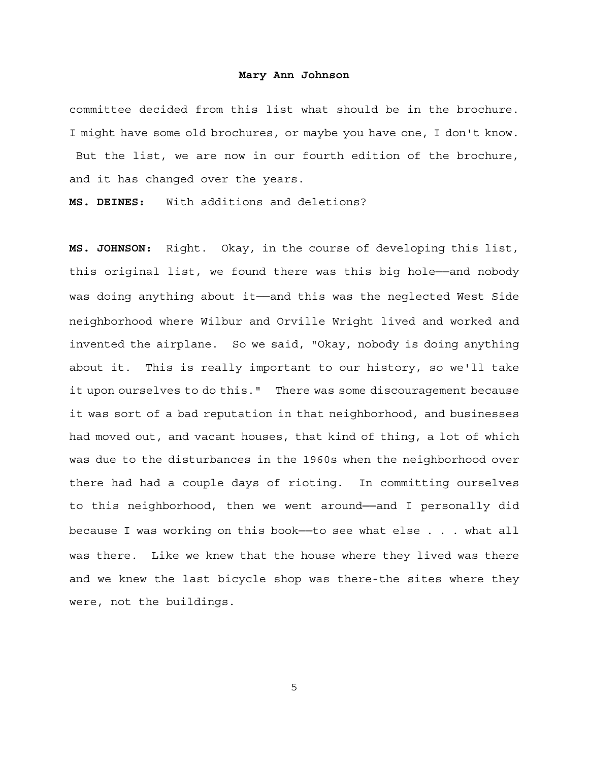committee decided from this list what should be in the brochure. I might have some old brochures, or maybe you have one, I don't know. But the list, we are now in our fourth edition of the brochure, and it has changed over the years.

**MS. DEINES:** With additions and deletions?

**MS. JOHNSON:** Right. Okay, in the course of developing this list, this original list, we found there was this big hole──and nobody was doing anything about it- and this was the neglected West Side neighborhood where Wilbur and Orville Wright lived and worked and invented the airplane. So we said, "Okay, nobody is doing anything about it. This is really important to our history, so we'll take it upon ourselves to do this." There was some discouragement because it was sort of a bad reputation in that neighborhood, and businesses had moved out, and vacant houses, that kind of thing, a lot of which was due to the disturbances in the 1960s when the neighborhood over there had had a couple days of rioting. In committing ourselves to this neighborhood, then we went around──and I personally did because I was working on this book--to see what else . . . what all was there. Like we knew that the house where they lived was there and we knew the last bicycle shop was there-the sites where they were, not the buildings.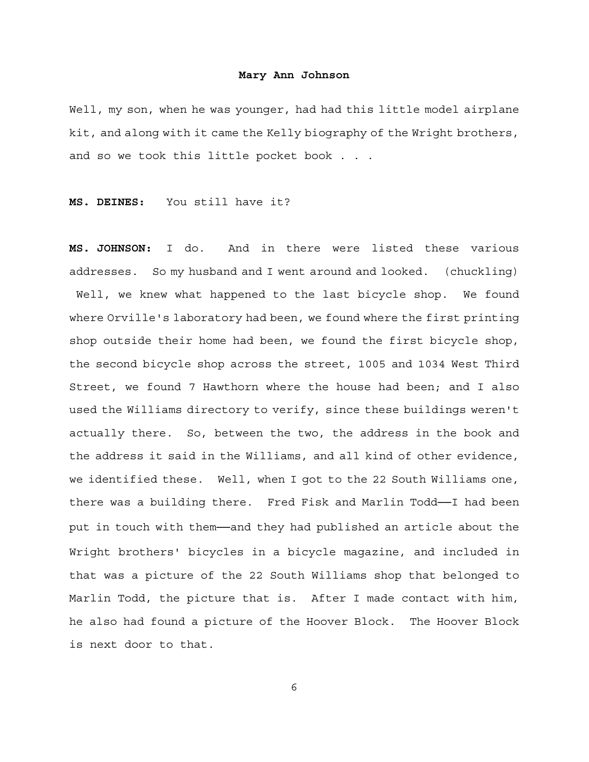Well, my son, when he was younger, had had this little model airplane kit, and along with it came the Kelly biography of the Wright brothers, and so we took this little pocket book . . .

**MS. DEINES:** You still have it?

**MS. JOHNSON:** I do. And in there were listed these various addresses. So my husband and I went around and looked. (chuckling) Well, we knew what happened to the last bicycle shop. We found where Orville's laboratory had been, we found where the first printing shop outside their home had been, we found the first bicycle shop, the second bicycle shop across the street, 1005 and 1034 West Third Street, we found 7 Hawthorn where the house had been; and I also used the Williams directory to verify, since these buildings weren't actually there. So, between the two, the address in the book and the address it said in the Williams, and all kind of other evidence, we identified these. Well, when I got to the 22 South Williams one, there was a building there. Fred Fisk and Marlin Todd──I had been put in touch with them—and they had published an article about the Wright brothers' bicycles in a bicycle magazine, and included in that was a picture of the 22 South Williams shop that belonged to Marlin Todd, the picture that is. After I made contact with him, he also had found a picture of the Hoover Block. The Hoover Block is next door to that.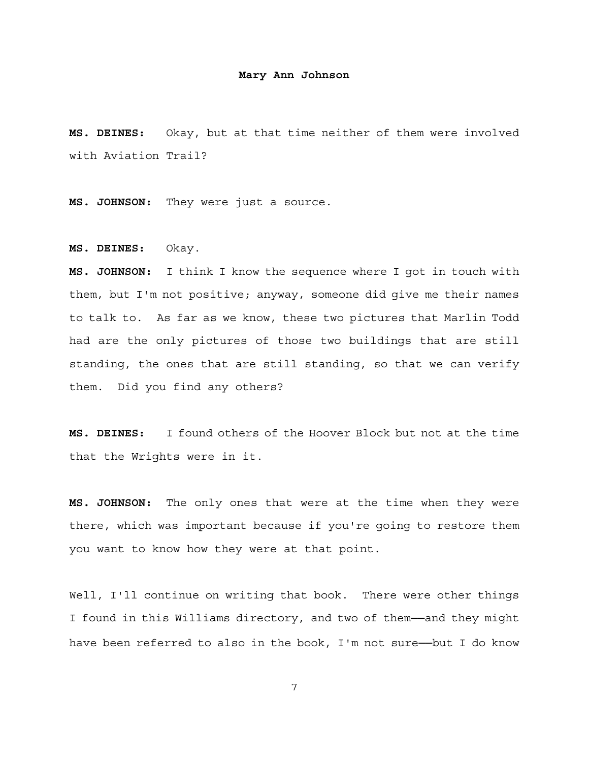**MS. DEINES:** Okay, but at that time neither of them were involved with Aviation Trail?

**MS. JOHNSON:** They were just a source.

**MS. DEINES:** Okay.

**MS. JOHNSON:** I think I know the sequence where I got in touch with them, but I'm not positive; anyway, someone did give me their names to talk to. As far as we know, these two pictures that Marlin Todd had are the only pictures of those two buildings that are still standing, the ones that are still standing, so that we can verify them. Did you find any others?

**MS. DEINES:** I found others of the Hoover Block but not at the time that the Wrights were in it.

**MS. JOHNSON:** The only ones that were at the time when they were there, which was important because if you're going to restore them you want to know how they were at that point.

Well, I'll continue on writing that book. There were other things I found in this Williams directory, and two of them—and they might have been referred to also in the book, I'm not sure--but I do know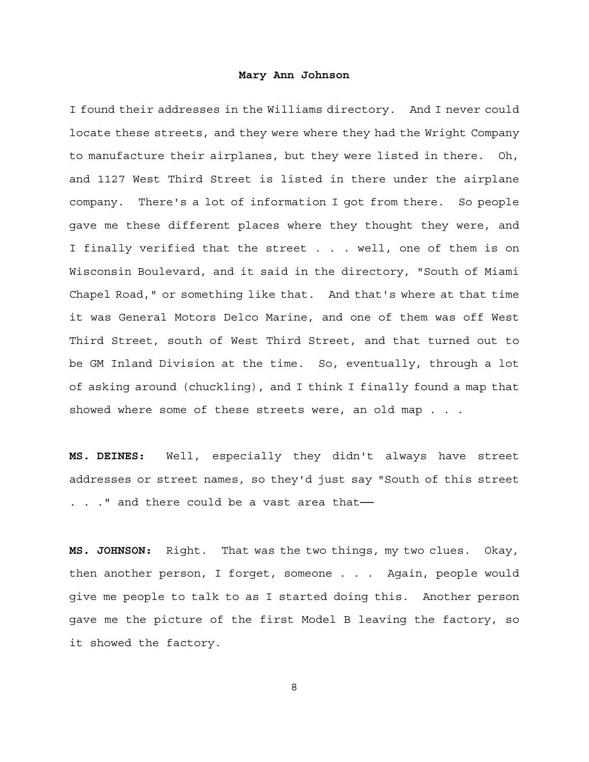I found their addresses in the Williams directory. And I never could locate these streets, and they were where they had the Wright Company to manufacture their airplanes, but they were listed in there. Oh, and 1127 West Third Street is listed in there under the airplane company. There's a lot of information I got from there. So people gave me these different places where they thought they were, and I finally verified that the street . . . well, one of them is on Wisconsin Boulevard, and it said in the directory, "South of Miami Chapel Road," or something like that. And that's where at that time it was General Motors Delco Marine, and one of them was off West Third Street, south of West Third Street, and that turned out to be GM Inland Division at the time. So, eventually, through a lot of asking around (chuckling), and I think I finally found a map that showed where some of these streets were, an old map . . .

**MS. DEINES:** Well, especially they didn't always have street addresses or street names, so they'd just say "South of this street . . . " and there could be a vast area that-

**MS. JOHNSON:** Right. That was the two things, my two clues. Okay, then another person, I forget, someone . . . Again, people would give me people to talk to as I started doing this. Another person gave me the picture of the first Model B leaving the factory, so it showed the factory.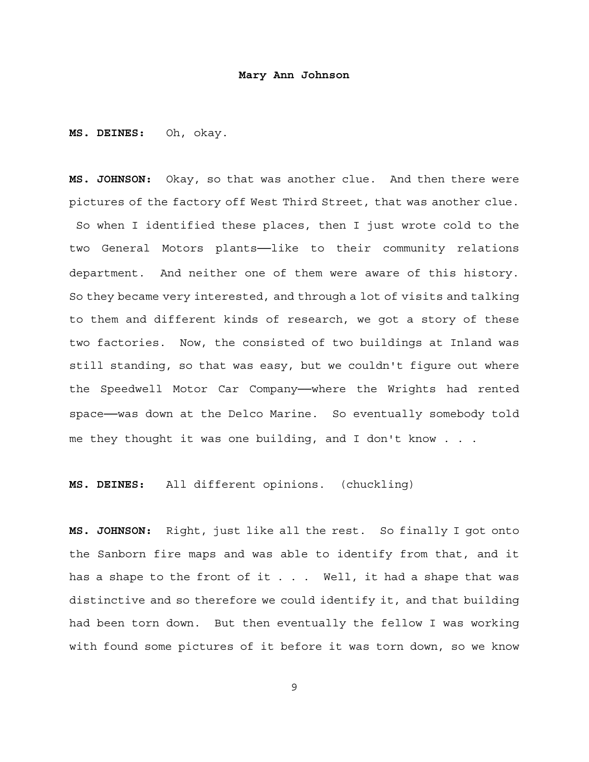**MS. DEINES:** Oh, okay.

**MS. JOHNSON:** Okay, so that was another clue. And then there were pictures of the factory off West Third Street, that was another clue. So when I identified these places, then I just wrote cold to the two General Motors plants--like to their community relations department. And neither one of them were aware of this history. So they became very interested, and through a lot of visits and talking to them and different kinds of research, we got a story of these two factories. Now, the consisted of two buildings at Inland was still standing, so that was easy, but we couldn't figure out where the Speedwell Motor Car Company--where the Wrights had rented space—was down at the Delco Marine. So eventually somebody told me they thought it was one building, and I don't know . . .

**MS. DEINES:** All different opinions. (chuckling)

**MS. JOHNSON:** Right, just like all the rest. So finally I got onto the Sanborn fire maps and was able to identify from that, and it has a shape to the front of it . . . Well, it had a shape that was distinctive and so therefore we could identify it, and that building had been torn down. But then eventually the fellow I was working with found some pictures of it before it was torn down, so we know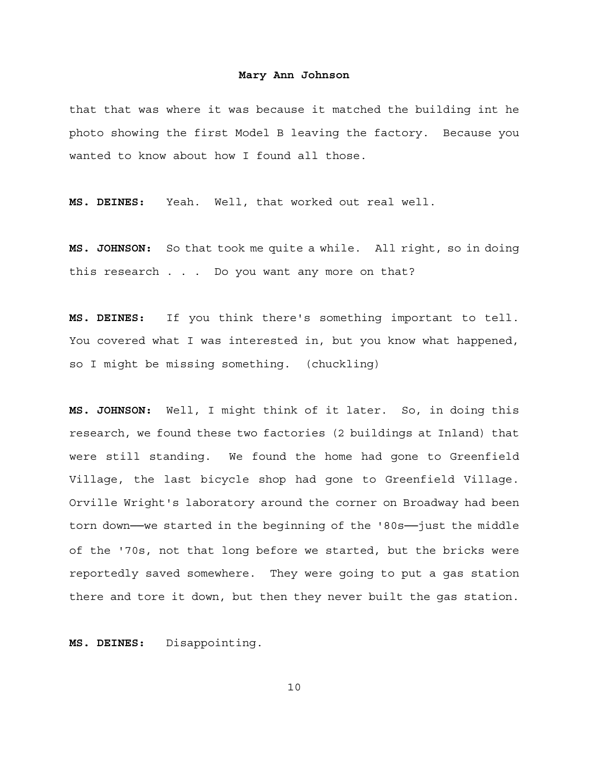that that was where it was because it matched the building int he photo showing the first Model B leaving the factory. Because you wanted to know about how I found all those.

**MS. DEINES:** Yeah. Well, that worked out real well.

**MS. JOHNSON:** So that took me quite a while. All right, so in doing this research . . . Do you want any more on that?

**MS. DEINES:** If you think there's something important to tell. You covered what I was interested in, but you know what happened, so I might be missing something. (chuckling)

**MS. JOHNSON:** Well, I might think of it later. So, in doing this research, we found these two factories (2 buildings at Inland) that were still standing. We found the home had gone to Greenfield Village, the last bicycle shop had gone to Greenfield Village. Orville Wright's laboratory around the corner on Broadway had been torn down—we started in the beginning of the '80s—just the middle of the '70s, not that long before we started, but the bricks were reportedly saved somewhere. They were going to put a gas station there and tore it down, but then they never built the gas station.

**MS. DEINES:** Disappointing.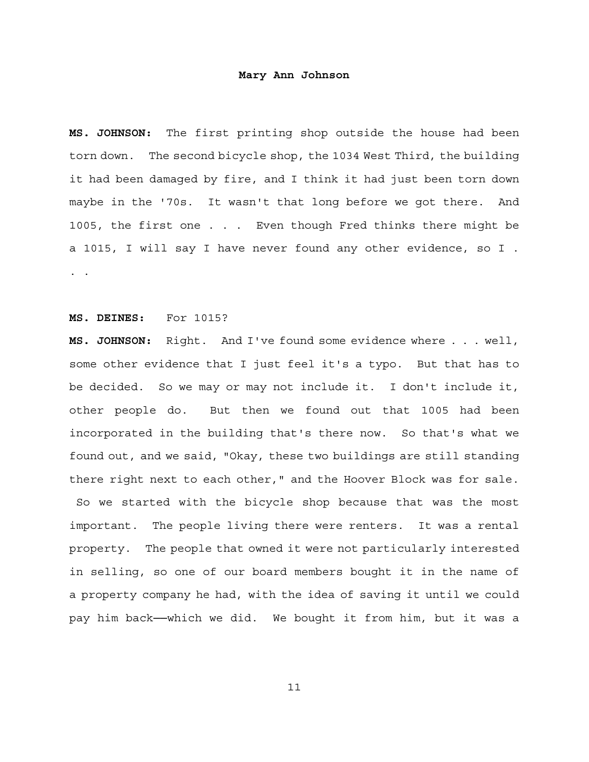**MS. JOHNSON:** The first printing shop outside the house had been torn down. The second bicycle shop, the 1034 West Third, the building it had been damaged by fire, and I think it had just been torn down maybe in the '70s. It wasn't that long before we got there. And 1005, the first one . . . Even though Fred thinks there might be a 1015, I will say I have never found any other evidence, so I . . .

# **MS. DEINES:** For 1015?

**MS. JOHNSON:** Right. And I've found some evidence where . . . well, some other evidence that I just feel it's a typo. But that has to be decided. So we may or may not include it. I don't include it, other people do. But then we found out that 1005 had been incorporated in the building that's there now. So that's what we found out, and we said, "Okay, these two buildings are still standing there right next to each other," and the Hoover Block was for sale. So we started with the bicycle shop because that was the most important. The people living there were renters. It was a rental property. The people that owned it were not particularly interested in selling, so one of our board members bought it in the name of a property company he had, with the idea of saving it until we could

pay him back--which we did. We bought it from him, but it was a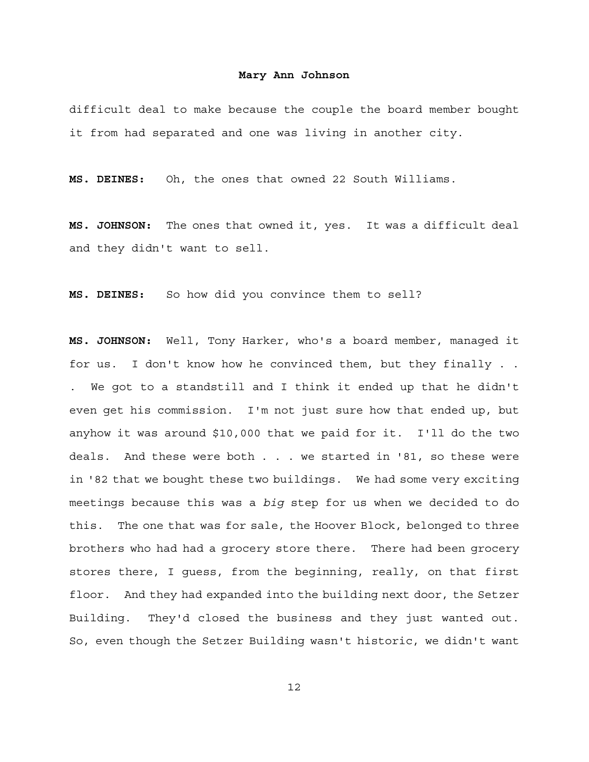difficult deal to make because the couple the board member bought it from had separated and one was living in another city.

**MS. DEINES:** Oh, the ones that owned 22 South Williams.

**MS. JOHNSON:** The ones that owned it, yes. It was a difficult deal and they didn't want to sell.

**MS. DEINES:** So how did you convince them to sell?

**MS. JOHNSON:** Well, Tony Harker, who's a board member, managed it for us. I don't know how he convinced them, but they finally . . . We got to a standstill and I think it ended up that he didn't even get his commission. I'm not just sure how that ended up, but anyhow it was around \$10,000 that we paid for it. I'll do the two deals. And these were both . . . we started in '81, so these were in '82 that we bought these two buildings. We had some very exciting meetings because this was a *big* step for us when we decided to do this. The one that was for sale, the Hoover Block, belonged to three brothers who had had a grocery store there. There had been grocery stores there, I guess, from the beginning, really, on that first floor. And they had expanded into the building next door, the Setzer Building. They'd closed the business and they just wanted out. So, even though the Setzer Building wasn't historic, we didn't want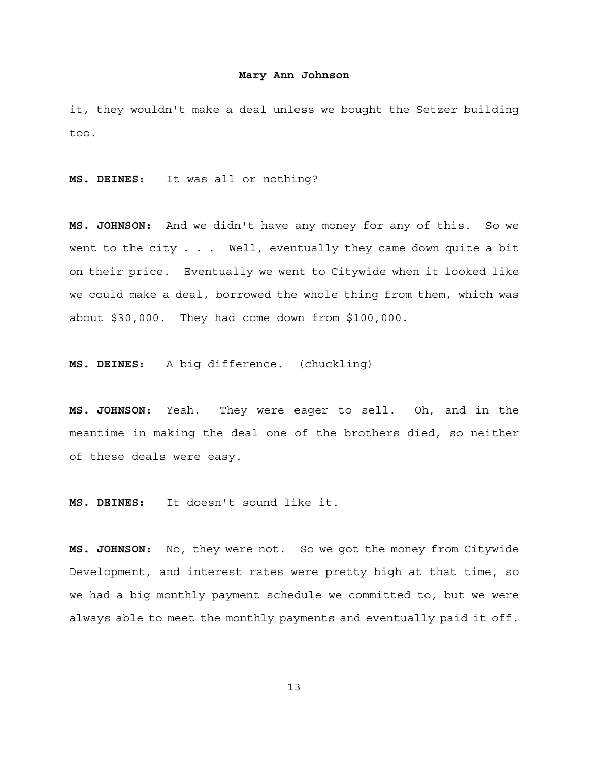it, they wouldn't make a deal unless we bought the Setzer building too.

**MS. DEINES:** It was all or nothing?

**MS. JOHNSON:** And we didn't have any money for any of this. So we went to the city . . . Well, eventually they came down quite a bit on their price. Eventually we went to Citywide when it looked like we could make a deal, borrowed the whole thing from them, which was about \$30,000. They had come down from \$100,000.

**MS. DEINES:** A big difference. (chuckling)

**MS. JOHNSON:** Yeah. They were eager to sell. Oh, and in the meantime in making the deal one of the brothers died, so neither of these deals were easy.

**MS. DEINES:** It doesn't sound like it.

**MS. JOHNSON:** No, they were not. So we got the money from Citywide Development, and interest rates were pretty high at that time, so we had a big monthly payment schedule we committed to, but we were always able to meet the monthly payments and eventually paid it off.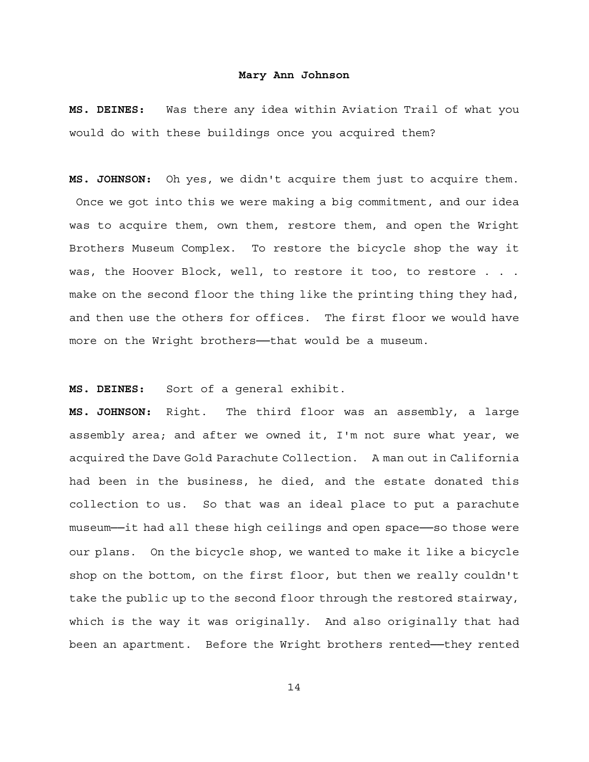**MS. DEINES:** Was there any idea within Aviation Trail of what you would do with these buildings once you acquired them?

**MS. JOHNSON:** Oh yes, we didn't acquire them just to acquire them. Once we got into this we were making a big commitment, and our idea was to acquire them, own them, restore them, and open the Wright Brothers Museum Complex. To restore the bicycle shop the way it was, the Hoover Block, well, to restore it too, to restore . . . make on the second floor the thing like the printing thing they had, and then use the others for offices. The first floor we would have more on the Wright brothers--that would be a museum.

**MS. DEINES:** Sort of a general exhibit.

**MS. JOHNSON:** Right. The third floor was an assembly, a large assembly area; and after we owned it, I'm not sure what year, we acquired the Dave Gold Parachute Collection. A man out in California had been in the business, he died, and the estate donated this collection to us. So that was an ideal place to put a parachute museum──it had all these high ceilings and open space──so those were our plans. On the bicycle shop, we wanted to make it like a bicycle shop on the bottom, on the first floor, but then we really couldn't take the public up to the second floor through the restored stairway, which is the way it was originally. And also originally that had been an apartment. Before the Wright brothers rented-they rented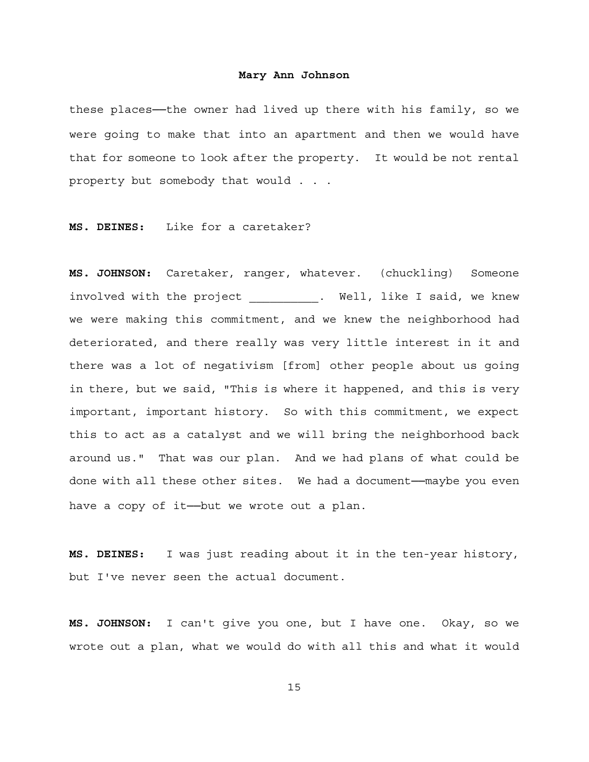these places---the owner had lived up there with his family, so we were going to make that into an apartment and then we would have that for someone to look after the property. It would be not rental property but somebody that would . . .

**MS. DEINES:** Like for a caretaker?

**MS. JOHNSON:** Caretaker, ranger, whatever. (chuckling) Someone involved with the project \_\_\_\_\_\_\_\_\_\_. Well, like I said, we knew we were making this commitment, and we knew the neighborhood had deteriorated, and there really was very little interest in it and there was a lot of negativism [from] other people about us going in there, but we said, "This is where it happened, and this is very important, important history. So with this commitment, we expect this to act as a catalyst and we will bring the neighborhood back around us." That was our plan. And we had plans of what could be done with all these other sites. We had a document—maybe you even have a copy of it--but we wrote out a plan.

**MS. DEINES:** I was just reading about it in the ten-year history, but I've never seen the actual document.

**MS. JOHNSON:** I can't give you one, but I have one. Okay, so we wrote out a plan, what we would do with all this and what it would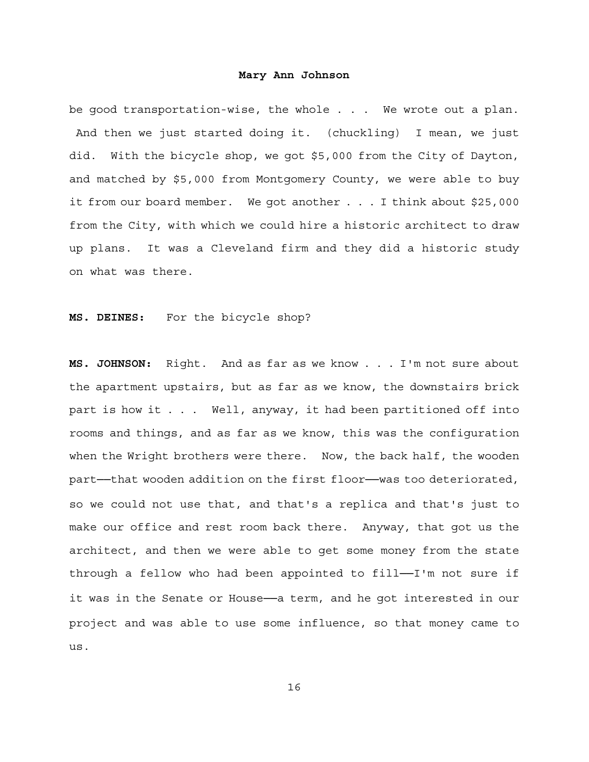be good transportation-wise, the whole . . . We wrote out a plan. And then we just started doing it. (chuckling) I mean, we just did. With the bicycle shop, we got \$5,000 from the City of Dayton, and matched by \$5,000 from Montgomery County, we were able to buy it from our board member. We got another . . . I think about \$25,000 from the City, with which we could hire a historic architect to draw up plans. It was a Cleveland firm and they did a historic study on what was there.

**MS. DEINES:** For the bicycle shop?

**MS. JOHNSON:** Right. And as far as we know . . . I'm not sure about the apartment upstairs, but as far as we know, the downstairs brick part is how it . . . Well, anyway, it had been partitioned off into rooms and things, and as far as we know, this was the configuration when the Wright brothers were there. Now, the back half, the wooden part—that wooden addition on the first floor—was too deteriorated, so we could not use that, and that's a replica and that's just to make our office and rest room back there. Anyway, that got us the architect, and then we were able to get some money from the state through a fellow who had been appointed to fill—I'm not sure if it was in the Senate or House- a term, and he got interested in our project and was able to use some influence, so that money came to us.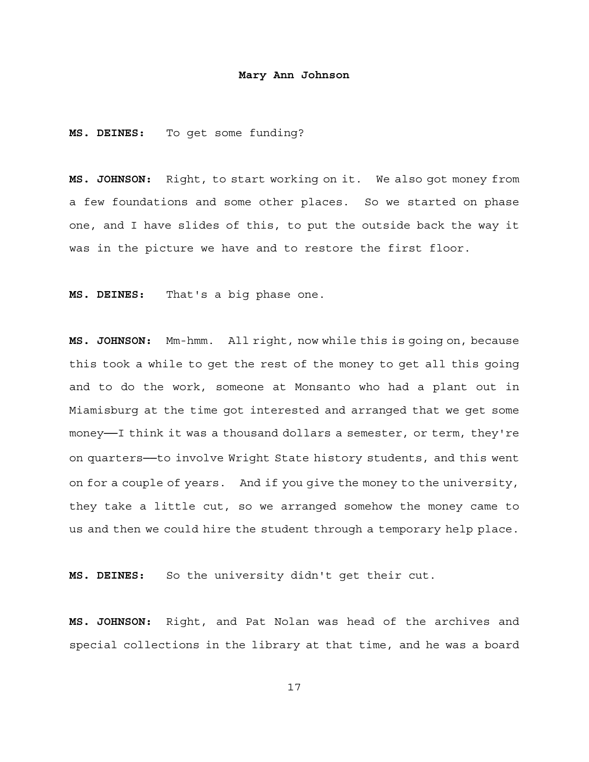**MS. DEINES:** To get some funding?

**MS. JOHNSON:** Right, to start working on it. We also got money from a few foundations and some other places. So we started on phase one, and I have slides of this, to put the outside back the way it was in the picture we have and to restore the first floor.

**MS. DEINES:** That's a big phase one.

**MS. JOHNSON:** Mm-hmm. All right, now while this is going on, because this took a while to get the rest of the money to get all this going and to do the work, someone at Monsanto who had a plant out in Miamisburg at the time got interested and arranged that we get some money-I think it was a thousand dollars a semester, or term, they're on quarters—to involve Wright State history students, and this went on for a couple of years. And if you give the money to the university, they take a little cut, so we arranged somehow the money came to us and then we could hire the student through a temporary help place.

**MS. DEINES:** So the university didn't get their cut.

**MS. JOHNSON:** Right, and Pat Nolan was head of the archives and special collections in the library at that time, and he was a board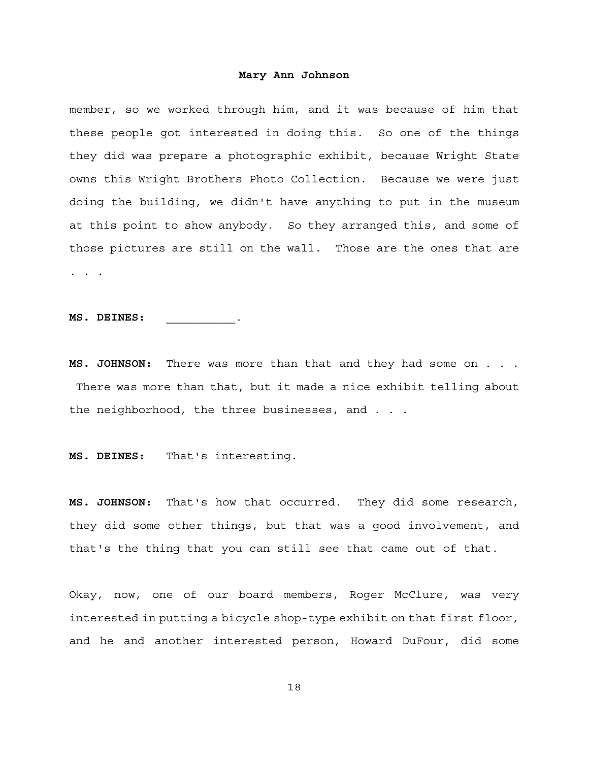member, so we worked through him, and it was because of him that these people got interested in doing this. So one of the things they did was prepare a photographic exhibit, because Wright State owns this Wright Brothers Photo Collection. Because we were just doing the building, we didn't have anything to put in the museum at this point to show anybody. So they arranged this, and some of those pictures are still on the wall. Those are the ones that are . . .

**MS. DEINES:** \_\_\_\_\_\_\_\_\_\_.

**MS. JOHNSON:** There was more than that and they had some on . . . There was more than that, but it made a nice exhibit telling about the neighborhood, the three businesses, and . . .

**MS. DEINES:** That's interesting.

**MS. JOHNSON:** That's how that occurred. They did some research, they did some other things, but that was a good involvement, and that's the thing that you can still see that came out of that.

Okay, now, one of our board members, Roger McClure, was very interested in putting a bicycle shop-type exhibit on that first floor, and he and another interested person, Howard DuFour, did some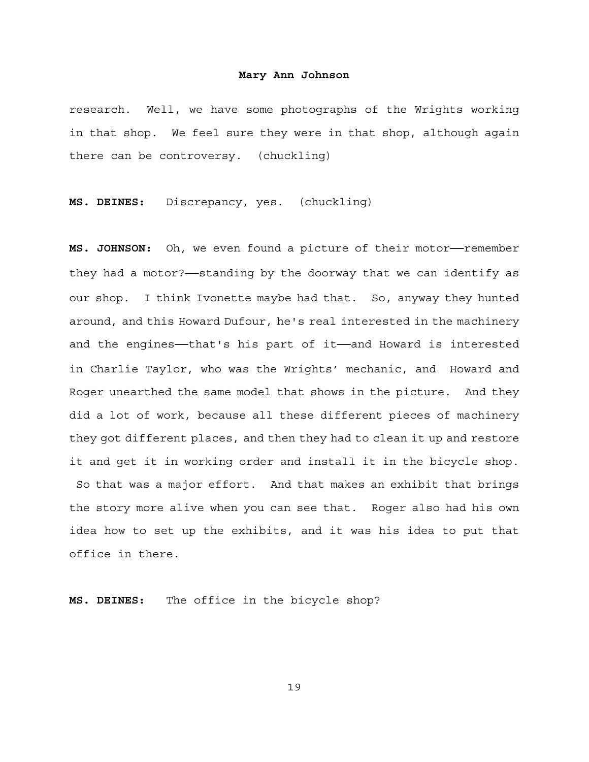research. Well, we have some photographs of the Wrights working in that shop. We feel sure they were in that shop, although again there can be controversy. (chuckling)

**MS. DEINES:** Discrepancy, yes. (chuckling)

MS. JOHNSON: Oh, we even found a picture of their motor-remember they had a motor?──standing by the doorway that we can identify as our shop. I think Ivonette maybe had that. So, anyway they hunted around, and this Howard Dufour, he's real interested in the machinery and the engines--that's his part of it--and Howard is interested in Charlie Taylor, who was the Wrights' mechanic, and Howard and Roger unearthed the same model that shows in the picture. And they did a lot of work, because all these different pieces of machinery they got different places, and then they had to clean it up and restore it and get it in working order and install it in the bicycle shop. So that was a major effort. And that makes an exhibit that brings the story more alive when you can see that. Roger also had his own idea how to set up the exhibits, and it was his idea to put that office in there.

**MS. DEINES:** The office in the bicycle shop?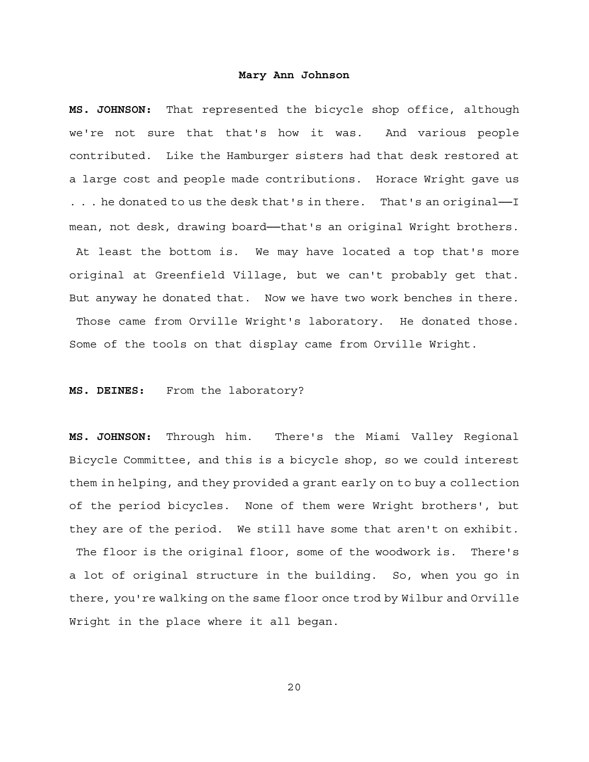**MS. JOHNSON:** That represented the bicycle shop office, although we're not sure that that's how it was. And various people contributed. Like the Hamburger sisters had that desk restored at a large cost and people made contributions. Horace Wright gave us ... he donated to us the desk that's in there. That's an original—I mean, not desk, drawing board—that's an original Wright brothers. At least the bottom is. We may have located a top that's more original at Greenfield Village, but we can't probably get that. But anyway he donated that. Now we have two work benches in there. Those came from Orville Wright's laboratory. He donated those. Some of the tools on that display came from Orville Wright.

# **MS. DEINES:** From the laboratory?

**MS. JOHNSON:** Through him. There's the Miami Valley Regional Bicycle Committee, and this is a bicycle shop, so we could interest them in helping, and they provided a grant early on to buy a collection of the period bicycles. None of them were Wright brothers', but they are of the period. We still have some that aren't on exhibit. The floor is the original floor, some of the woodwork is. There's a lot of original structure in the building. So, when you go in there, you're walking on the same floor once trod by Wilbur and Orville Wright in the place where it all began.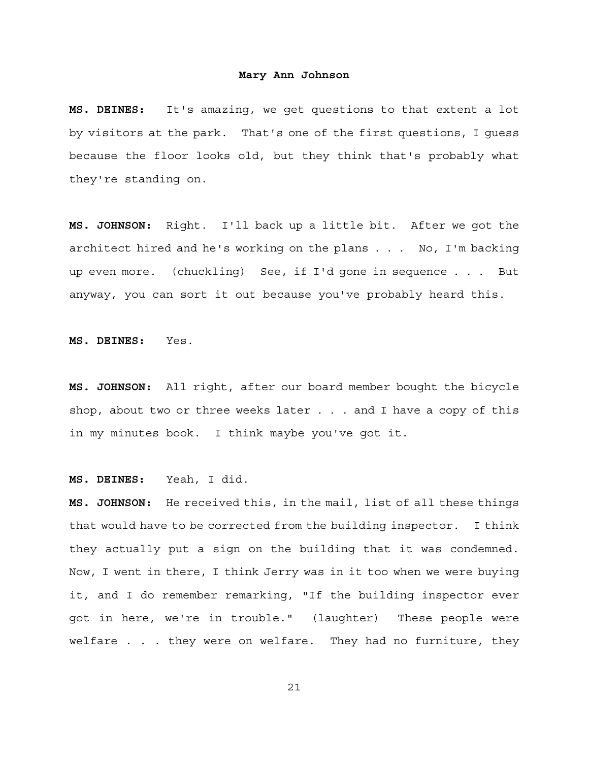**MS. DEINES:** It's amazing, we get questions to that extent a lot by visitors at the park. That's one of the first questions, I guess because the floor looks old, but they think that's probably what they're standing on.

**MS. JOHNSON:** Right. I'll back up a little bit. After we got the architect hired and he's working on the plans . . . No, I'm backing up even more. (chuckling) See, if I'd gone in sequence . . . But anyway, you can sort it out because you've probably heard this.

**MS. DEINES:** Yes.

**MS. JOHNSON:** All right, after our board member bought the bicycle shop, about two or three weeks later . . . and I have a copy of this in my minutes book. I think maybe you've got it.

**MS. DEINES:** Yeah, I did.

**MS. JOHNSON:** He received this, in the mail, list of all these things that would have to be corrected from the building inspector. I think they actually put a sign on the building that it was condemned. Now, I went in there, I think Jerry was in it too when we were buying it, and I do remember remarking, "If the building inspector ever got in here, we're in trouble." (laughter) These people were welfare . . . they were on welfare. They had no furniture, they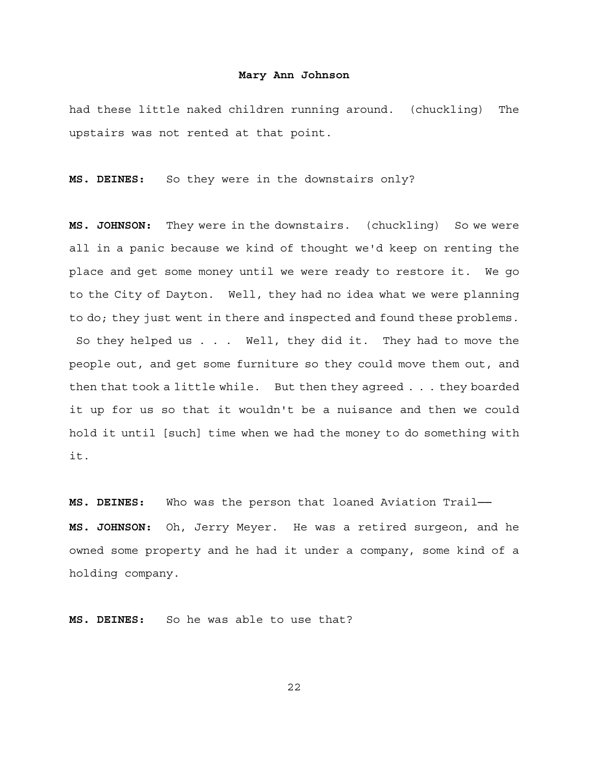had these little naked children running around. (chuckling) The upstairs was not rented at that point.

**MS. DEINES:** So they were in the downstairs only?

**MS. JOHNSON:** They were in the downstairs. (chuckling) So we were all in a panic because we kind of thought we'd keep on renting the place and get some money until we were ready to restore it. We go to the City of Dayton. Well, they had no idea what we were planning to do; they just went in there and inspected and found these problems. So they helped us . . . Well, they did it. They had to move the people out, and get some furniture so they could move them out, and then that took a little while. But then they agreed . . . they boarded it up for us so that it wouldn't be a nuisance and then we could hold it until [such] time when we had the money to do something with it.

**MS. DEINES:** Who was the person that loaned Aviation Trail── **MS. JOHNSON:** Oh, Jerry Meyer. He was a retired surgeon, and he owned some property and he had it under a company, some kind of a holding company.

**MS. DEINES:** So he was able to use that?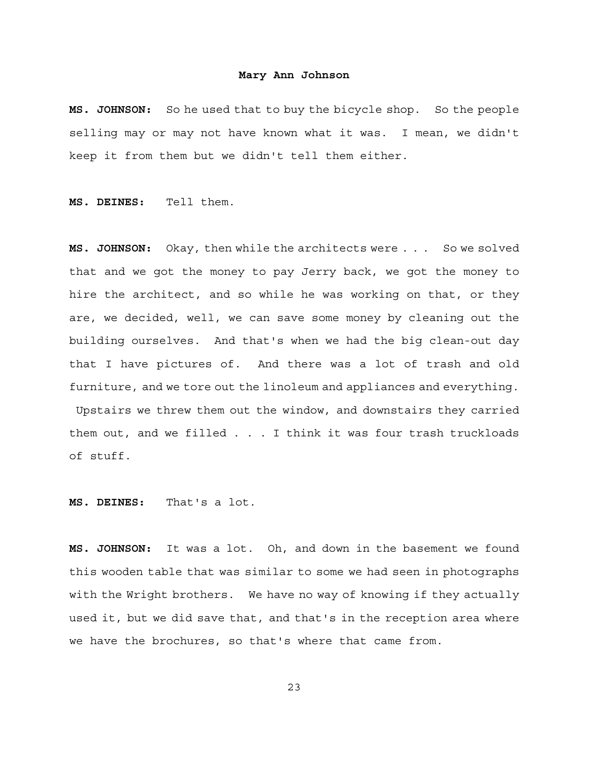**MS. JOHNSON:** So he used that to buy the bicycle shop. So the people selling may or may not have known what it was. I mean, we didn't keep it from them but we didn't tell them either.

**MS. DEINES:** Tell them.

**MS. JOHNSON:** Okay, then while the architects were . . . So we solved that and we got the money to pay Jerry back, we got the money to hire the architect, and so while he was working on that, or they are, we decided, well, we can save some money by cleaning out the building ourselves. And that's when we had the big clean-out day that I have pictures of. And there was a lot of trash and old furniture, and we tore out the linoleum and appliances and everything. Upstairs we threw them out the window, and downstairs they carried them out, and we filled . . . I think it was four trash truckloads of stuff.

**MS. DEINES:** That's a lot.

**MS. JOHNSON:** It was a lot. Oh, and down in the basement we found this wooden table that was similar to some we had seen in photographs with the Wright brothers. We have no way of knowing if they actually used it, but we did save that, and that's in the reception area where we have the brochures, so that's where that came from.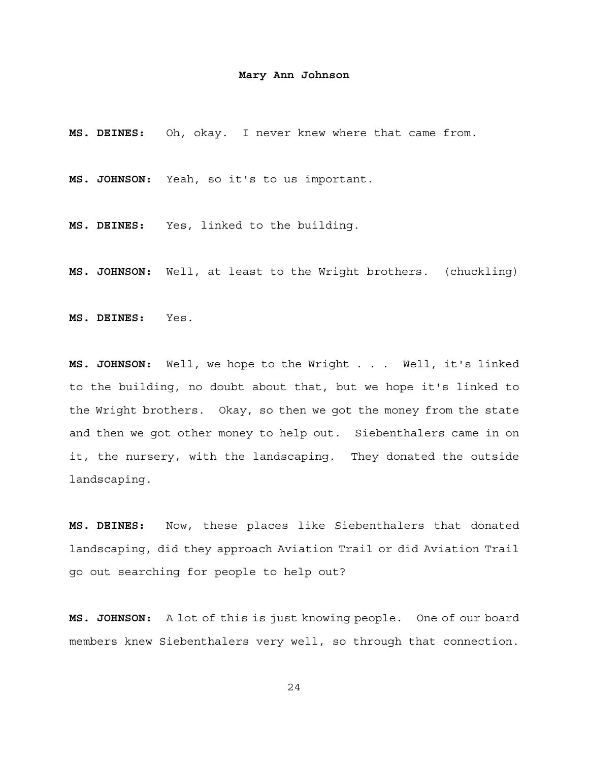**MS. DEINES:** Oh, okay. I never knew where that came from.

**MS. JOHNSON:** Yeah, so it's to us important.

**MS. DEINES:** Yes, linked to the building.

**MS. JOHNSON:** Well, at least to the Wright brothers. (chuckling)

**MS. DEINES:** Yes.

**MS. JOHNSON:** Well, we hope to the Wright . . . Well, it's linked to the building, no doubt about that, but we hope it's linked to the Wright brothers. Okay, so then we got the money from the state and then we got other money to help out. Siebenthalers came in on it, the nursery, with the landscaping. They donated the outside landscaping.

**MS. DEINES:** Now, these places like Siebenthalers that donated landscaping, did they approach Aviation Trail or did Aviation Trail go out searching for people to help out?

**MS. JOHNSON:** A lot of this is just knowing people. One of our board members knew Siebenthalers very well, so through that connection.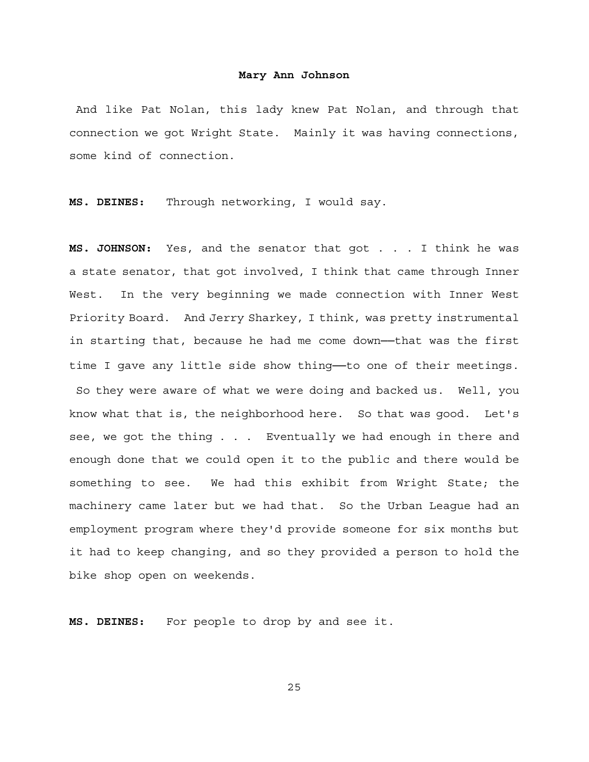And like Pat Nolan, this lady knew Pat Nolan, and through that connection we got Wright State. Mainly it was having connections, some kind of connection.

**MS. DEINES:** Through networking, I would say.

**MS. JOHNSON:** Yes, and the senator that got . . . I think he was a state senator, that got involved, I think that came through Inner West. In the very beginning we made connection with Inner West Priority Board. And Jerry Sharkey, I think, was pretty instrumental in starting that, because he had me come down──that was the first time I gave any little side show thing--to one of their meetings. So they were aware of what we were doing and backed us. Well, you know what that is, the neighborhood here. So that was good. Let's see, we got the thing . . . Eventually we had enough in there and enough done that we could open it to the public and there would be something to see. We had this exhibit from Wright State; the machinery came later but we had that. So the Urban League had an employment program where they'd provide someone for six months but it had to keep changing, and so they provided a person to hold the bike shop open on weekends.

**MS. DEINES:** For people to drop by and see it.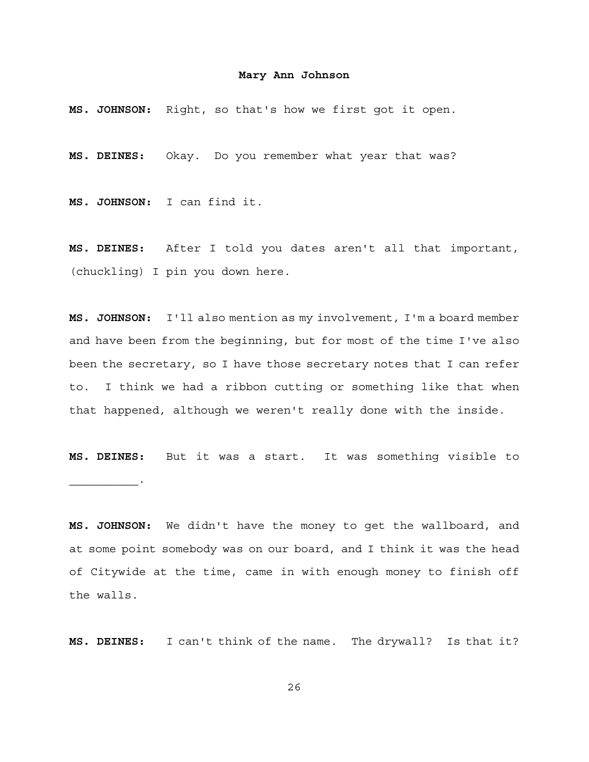**MS. JOHNSON:** Right, so that's how we first got it open.

**MS. DEINES:** Okay. Do you remember what year that was?

**MS. JOHNSON:** I can find it.

**MS. DEINES:** After I told you dates aren't all that important, (chuckling) I pin you down here.

**MS. JOHNSON:** I'll also mention as my involvement, I'm a board member and have been from the beginning, but for most of the time I've also been the secretary, so I have those secretary notes that I can refer to. I think we had a ribbon cutting or something like that when that happened, although we weren't really done with the inside.

**MS. DEINES:** But it was a start. It was something visible to  $\mathcal{L}_\text{max}$  and  $\mathcal{L}_\text{max}$  and  $\mathcal{L}_\text{max}$ 

**MS. JOHNSON:** We didn't have the money to get the wallboard, and at some point somebody was on our board, and I think it was the head of Citywide at the time, came in with enough money to finish off the walls.

**MS. DEINES:** I can't think of the name. The drywall? Is that it?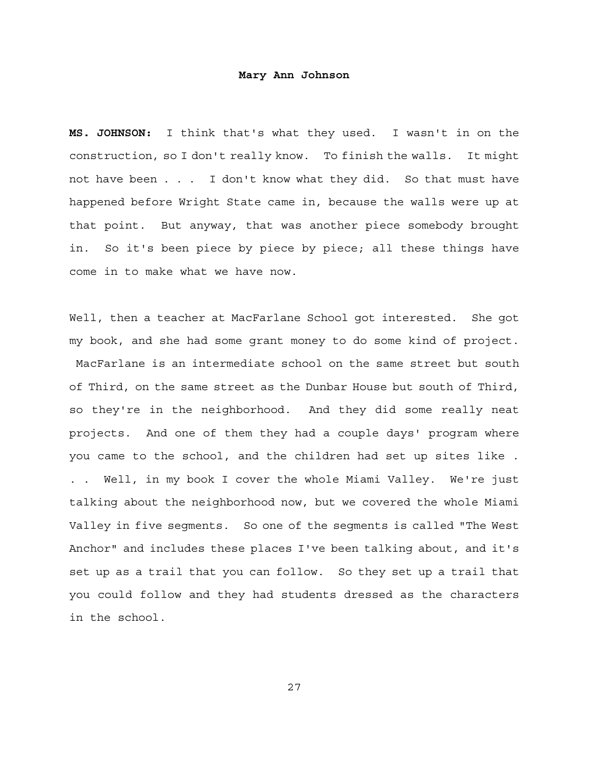**MS. JOHNSON:** I think that's what they used. I wasn't in on the construction, so I don't really know. To finish the walls. It might not have been . . . I don't know what they did. So that must have happened before Wright State came in, because the walls were up at that point. But anyway, that was another piece somebody brought in. So it's been piece by piece by piece; all these things have come in to make what we have now.

Well, then a teacher at MacFarlane School got interested. She got my book, and she had some grant money to do some kind of project. MacFarlane is an intermediate school on the same street but south of Third, on the same street as the Dunbar House but south of Third, so they're in the neighborhood. And they did some really neat projects. And one of them they had a couple days' program where you came to the school, and the children had set up sites like . Well, in my book I cover the whole Miami Valley. We're just talking about the neighborhood now, but we covered the whole Miami Valley in five segments. So one of the segments is called "The West Anchor" and includes these places I've been talking about, and it's set up as a trail that you can follow. So they set up a trail that you could follow and they had students dressed as the characters in the school.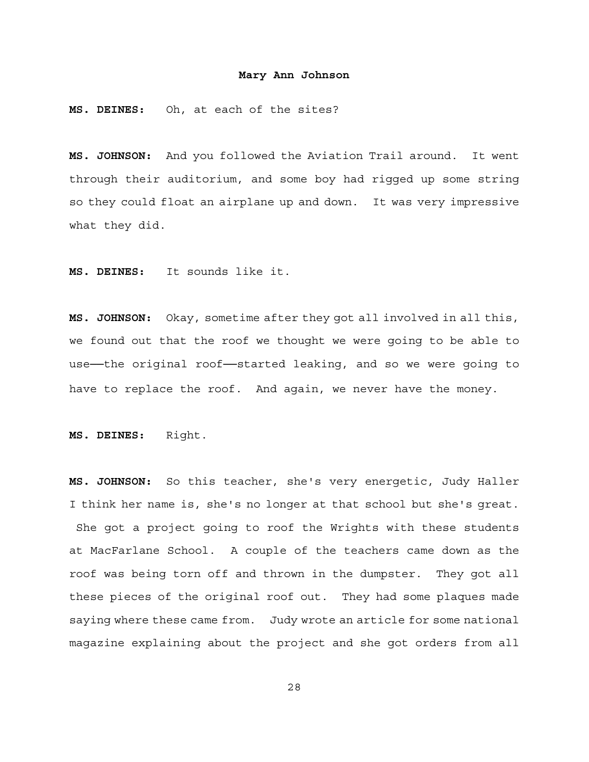**MS. DEINES:** Oh, at each of the sites?

**MS. JOHNSON:** And you followed the Aviation Trail around. It went through their auditorium, and some boy had rigged up some string so they could float an airplane up and down. It was very impressive what they did.

**MS. DEINES:** It sounds like it.

**MS. JOHNSON:** Okay, sometime after they got all involved in all this, we found out that the roof we thought we were going to be able to use--the original roof-started leaking, and so we were going to have to replace the roof. And again, we never have the money.

**MS. DEINES:** Right.

**MS. JOHNSON:** So this teacher, she's very energetic, Judy Haller I think her name is, she's no longer at that school but she's great. She got a project going to roof the Wrights with these students at MacFarlane School. A couple of the teachers came down as the roof was being torn off and thrown in the dumpster. They got all these pieces of the original roof out. They had some plaques made saying where these came from. Judy wrote an article for some national magazine explaining about the project and she got orders from all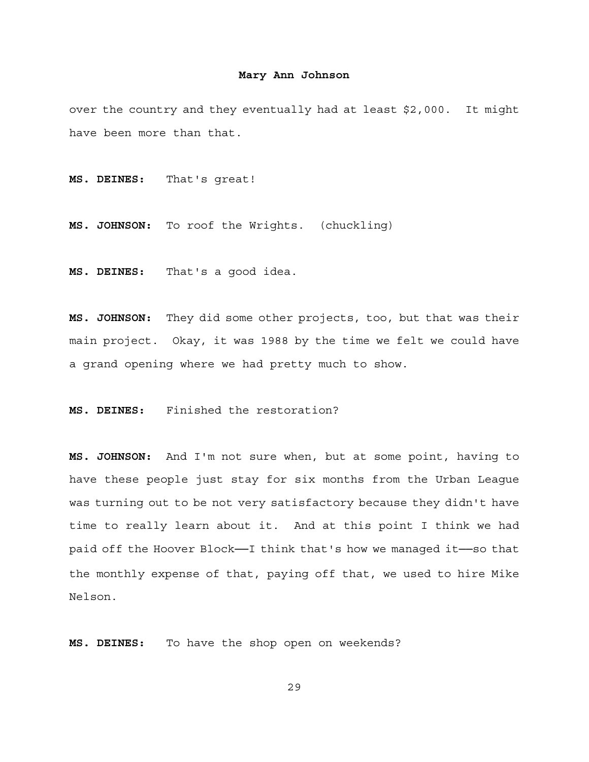over the country and they eventually had at least \$2,000. It might have been more than that.

**MS. DEINES:** That's great!

**MS. JOHNSON:** To roof the Wrights. (chuckling)

**MS. DEINES:** That's a good idea.

**MS. JOHNSON:** They did some other projects, too, but that was their main project. Okay, it was 1988 by the time we felt we could have a grand opening where we had pretty much to show.

**MS. DEINES:** Finished the restoration?

**MS. JOHNSON:** And I'm not sure when, but at some point, having to have these people just stay for six months from the Urban League was turning out to be not very satisfactory because they didn't have time to really learn about it. And at this point I think we had paid off the Hoover Block--I think that's how we managed it-so that the monthly expense of that, paying off that, we used to hire Mike Nelson.

**MS. DEINES:** To have the shop open on weekends?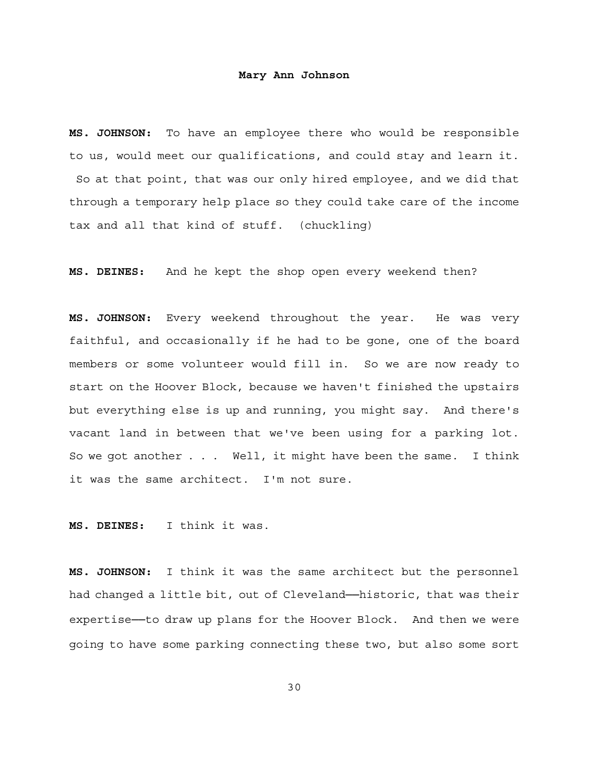**MS. JOHNSON:** To have an employee there who would be responsible to us, would meet our qualifications, and could stay and learn it. So at that point, that was our only hired employee, and we did that through a temporary help place so they could take care of the income tax and all that kind of stuff. (chuckling)

**MS. DEINES:** And he kept the shop open every weekend then?

**MS. JOHNSON:** Every weekend throughout the year. He was very faithful, and occasionally if he had to be gone, one of the board members or some volunteer would fill in. So we are now ready to start on the Hoover Block, because we haven't finished the upstairs but everything else is up and running, you might say. And there's vacant land in between that we've been using for a parking lot. So we got another . . . Well, it might have been the same. I think it was the same architect. I'm not sure.

**MS. DEINES:** I think it was.

**MS. JOHNSON:** I think it was the same architect but the personnel had changed a little bit, out of Cleveland—historic, that was their expertise--to draw up plans for the Hoover Block. And then we were going to have some parking connecting these two, but also some sort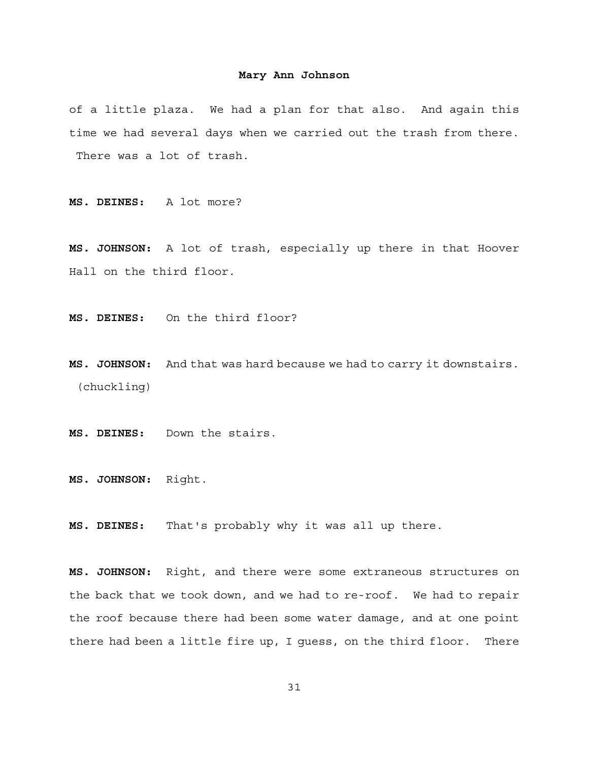of a little plaza. We had a plan for that also. And again this time we had several days when we carried out the trash from there. There was a lot of trash.

**MS. DEINES:** A lot more?

**MS. JOHNSON:** A lot of trash, especially up there in that Hoover Hall on the third floor.

**MS. DEINES:** On the third floor?

**MS. JOHNSON:** And that was hard because we had to carry it downstairs. (chuckling)

**MS. DEINES:** Down the stairs.

**MS. JOHNSON:** Right.

**MS. DEINES:** That's probably why it was all up there.

**MS. JOHNSON:** Right, and there were some extraneous structures on the back that we took down, and we had to re-roof. We had to repair the roof because there had been some water damage, and at one point there had been a little fire up, I guess, on the third floor. There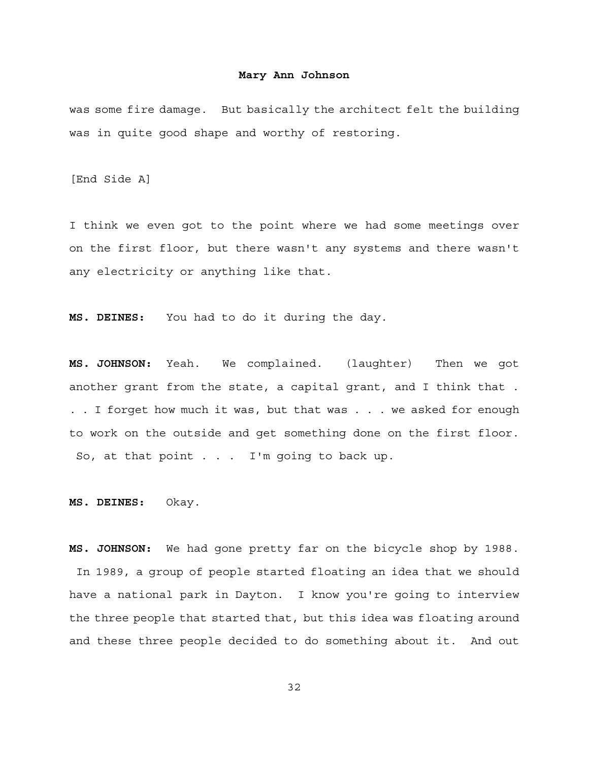was some fire damage. But basically the architect felt the building was in quite good shape and worthy of restoring.

[End Side A]

I think we even got to the point where we had some meetings over on the first floor, but there wasn't any systems and there wasn't any electricity or anything like that.

**MS. DEINES:** You had to do it during the day.

**MS. JOHNSON:** Yeah. We complained. (laughter) Then we got another grant from the state, a capital grant, and I think that . . . I forget how much it was, but that was . . . we asked for enough to work on the outside and get something done on the first floor. So, at that point . . . I'm going to back up.

**MS. DEINES:** Okay.

**MS. JOHNSON:** We had gone pretty far on the bicycle shop by 1988. In 1989, a group of people started floating an idea that we should have a national park in Dayton. I know you're going to interview the three people that started that, but this idea was floating around and these three people decided to do something about it. And out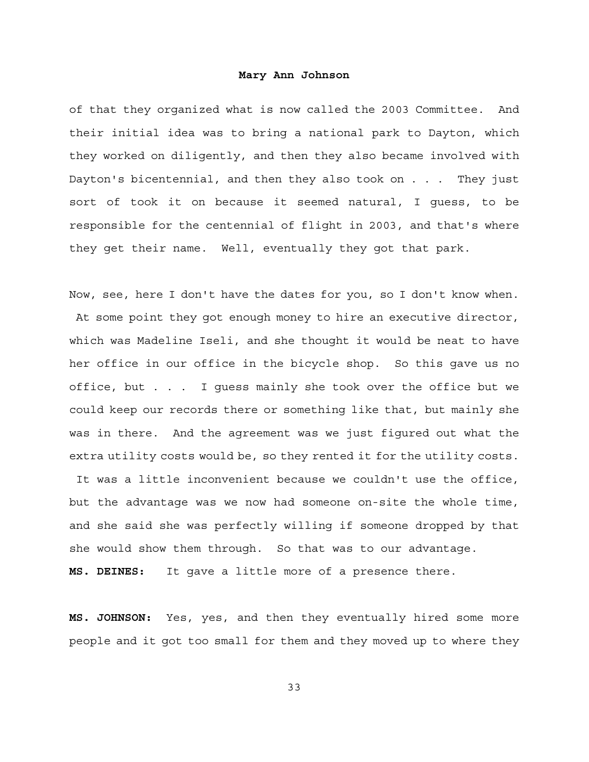of that they organized what is now called the 2003 Committee. And their initial idea was to bring a national park to Dayton, which they worked on diligently, and then they also became involved with Dayton's bicentennial, and then they also took on . . . They just sort of took it on because it seemed natural, I guess, to be responsible for the centennial of flight in 2003, and that's where they get their name. Well, eventually they got that park.

Now, see, here I don't have the dates for you, so I don't know when. At some point they got enough money to hire an executive director, which was Madeline Iseli, and she thought it would be neat to have her office in our office in the bicycle shop. So this gave us no office, but . . . I guess mainly she took over the office but we could keep our records there or something like that, but mainly she was in there. And the agreement was we just figured out what the extra utility costs would be, so they rented it for the utility costs.

 It was a little inconvenient because we couldn't use the office, but the advantage was we now had someone on-site the whole time, and she said she was perfectly willing if someone dropped by that she would show them through. So that was to our advantage.

**MS. DEINES:** It gave a little more of a presence there.

**MS. JOHNSON:** Yes, yes, and then they eventually hired some more people and it got too small for them and they moved up to where they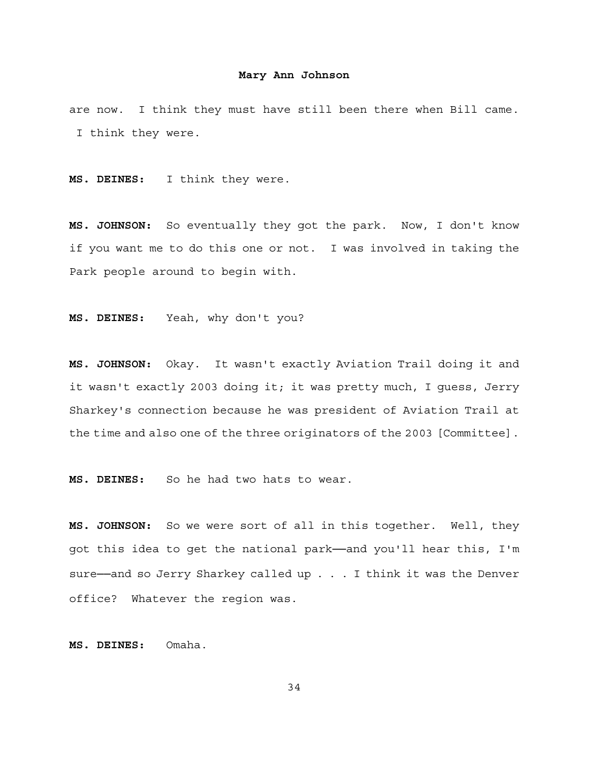are now. I think they must have still been there when Bill came. I think they were.

**MS. DEINES:** I think they were.

**MS. JOHNSON:** So eventually they got the park. Now, I don't know if you want me to do this one or not. I was involved in taking the Park people around to begin with.

**MS. DEINES:** Yeah, why don't you?

**MS. JOHNSON:** Okay. It wasn't exactly Aviation Trail doing it and it wasn't exactly 2003 doing it; it was pretty much, I guess, Jerry Sharkey's connection because he was president of Aviation Trail at the time and also one of the three originators of the 2003 [Committee].

**MS. DEINES:** So he had two hats to wear.

**MS. JOHNSON:** So we were sort of all in this together. Well, they got this idea to get the national park──and you'll hear this, I'm sure-and so Jerry Sharkey called up . . . I think it was the Denver office? Whatever the region was.

**MS. DEINES:** Omaha.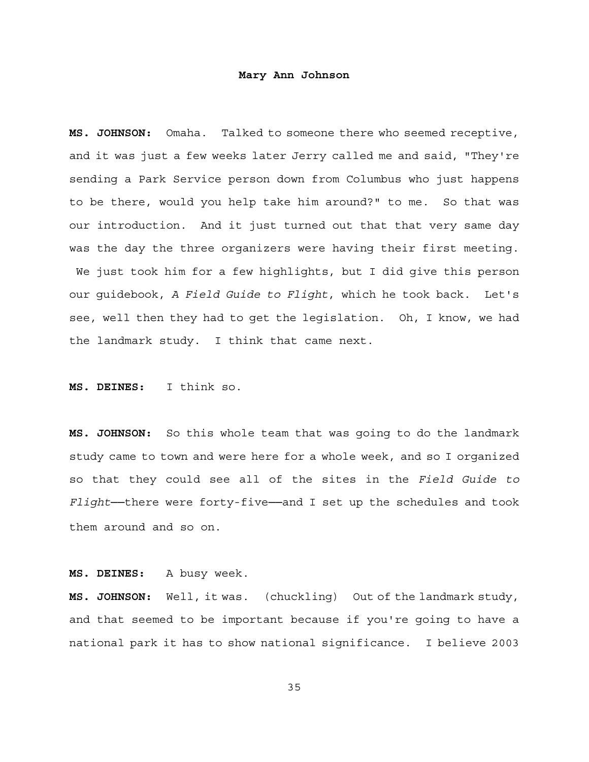**MS. JOHNSON:** Omaha. Talked to someone there who seemed receptive, and it was just a few weeks later Jerry called me and said, "They're sending a Park Service person down from Columbus who just happens to be there, would you help take him around?" to me. So that was our introduction. And it just turned out that that very same day was the day the three organizers were having their first meeting. We just took him for a few highlights, but I did give this person our guidebook, *A Field Guide to Flight*, which he took back. Let's see, well then they had to get the legislation. Oh, I know, we had the landmark study. I think that came next.

**MS. DEINES:** I think so.

**MS. JOHNSON:** So this whole team that was going to do the landmark study came to town and were here for a whole week, and so I organized so that they could see all of the sites in the *Field Guide to Flight*──there were forty-five──and I set up the schedules and took them around and so on.

**MS. DEINES:** A busy week.

**MS. JOHNSON:** Well, it was. (chuckling) Out of the landmark study, and that seemed to be important because if you're going to have a national park it has to show national significance. I believe 2003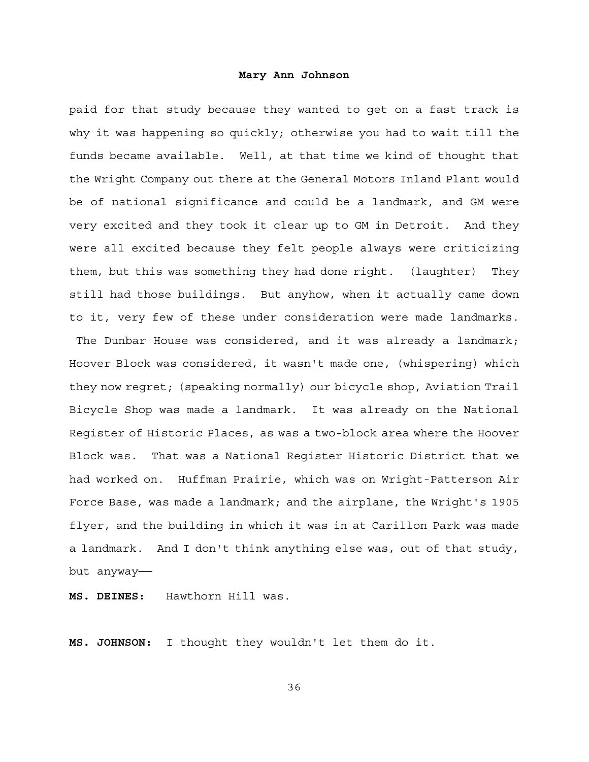paid for that study because they wanted to get on a fast track is why it was happening so quickly; otherwise you had to wait till the funds became available. Well, at that time we kind of thought that the Wright Company out there at the General Motors Inland Plant would be of national significance and could be a landmark, and GM were very excited and they took it clear up to GM in Detroit. And they were all excited because they felt people always were criticizing them, but this was something they had done right. (laughter) They still had those buildings. But anyhow, when it actually came down to it, very few of these under consideration were made landmarks. The Dunbar House was considered, and it was already a landmark; Hoover Block was considered, it wasn't made one, (whispering) which they now regret; (speaking normally) our bicycle shop, Aviation Trail Bicycle Shop was made a landmark. It was already on the National Register of Historic Places, as was a two-block area where the Hoover Block was. That was a National Register Historic District that we had worked on. Huffman Prairie, which was on Wright-Patterson Air Force Base, was made a landmark; and the airplane, the Wright's 1905 flyer, and the building in which it was in at Carillon Park was made a landmark. And I don't think anything else was, out of that study, but anyway──

**MS. DEINES:** Hawthorn Hill was.

**MS. JOHNSON:** I thought they wouldn't let them do it.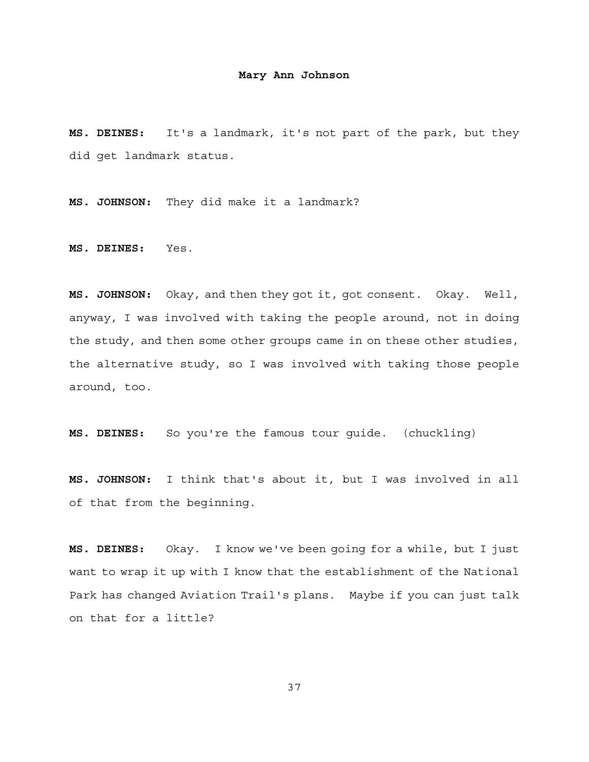**MS. DEINES:** It's a landmark, it's not part of the park, but they did get landmark status.

**MS. JOHNSON:** They did make it a landmark?

**MS. DEINES:** Yes.

**MS. JOHNSON:** Okay, and then they got it, got consent. Okay. Well, anyway, I was involved with taking the people around, not in doing the study, and then some other groups came in on these other studies, the alternative study, so I was involved with taking those people around, too.

**MS. DEINES:** So you're the famous tour guide. (chuckling)

**MS. JOHNSON:** I think that's about it, but I was involved in all of that from the beginning.

**MS. DEINES:** Okay. I know we've been going for a while, but I just want to wrap it up with I know that the establishment of the National Park has changed Aviation Trail's plans. Maybe if you can just talk on that for a little?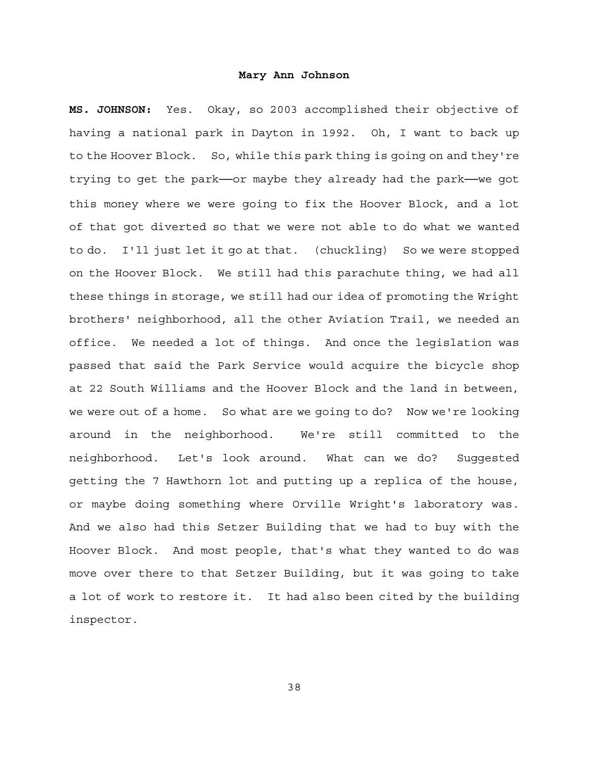**MS. JOHNSON:** Yes. Okay, so 2003 accomplished their objective of having a national park in Dayton in 1992. Oh, I want to back up to the Hoover Block. So, while this park thing is going on and they're trying to get the park──or maybe they already had the park──we got this money where we were going to fix the Hoover Block, and a lot of that got diverted so that we were not able to do what we wanted to do. I'll just let it go at that. (chuckling) So we were stopped on the Hoover Block. We still had this parachute thing, we had all these things in storage, we still had our idea of promoting the Wright brothers' neighborhood, all the other Aviation Trail, we needed an office. We needed a lot of things. And once the legislation was passed that said the Park Service would acquire the bicycle shop at 22 South Williams and the Hoover Block and the land in between, we were out of a home. So what are we going to do? Now we're looking around in the neighborhood. We're still committed to the neighborhood. Let's look around. What can we do? Suggested getting the 7 Hawthorn lot and putting up a replica of the house, or maybe doing something where Orville Wright's laboratory was. And we also had this Setzer Building that we had to buy with the Hoover Block. And most people, that's what they wanted to do was move over there to that Setzer Building, but it was going to take a lot of work to restore it. It had also been cited by the building inspector.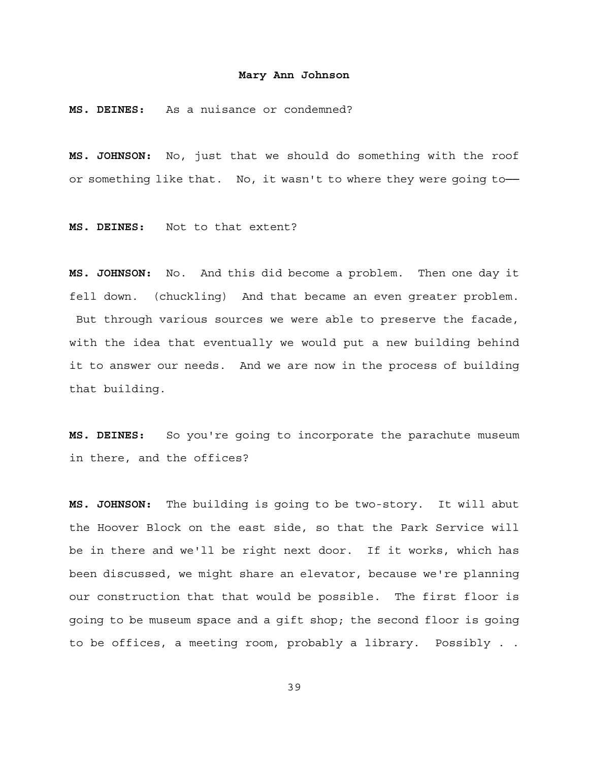**MS. DEINES:** As a nuisance or condemned?

**MS. JOHNSON:** No, just that we should do something with the roof or something like that. No, it wasn't to where they were going to-

**MS. DEINES:** Not to that extent?

**MS. JOHNSON:** No. And this did become a problem. Then one day it fell down. (chuckling) And that became an even greater problem. But through various sources we were able to preserve the facade, with the idea that eventually we would put a new building behind it to answer our needs. And we are now in the process of building that building.

**MS. DEINES:** So you're going to incorporate the parachute museum in there, and the offices?

**MS. JOHNSON:** The building is going to be two-story. It will abut the Hoover Block on the east side, so that the Park Service will be in there and we'll be right next door. If it works, which has been discussed, we might share an elevator, because we're planning our construction that that would be possible. The first floor is going to be museum space and a gift shop; the second floor is going to be offices, a meeting room, probably a library. Possibly . .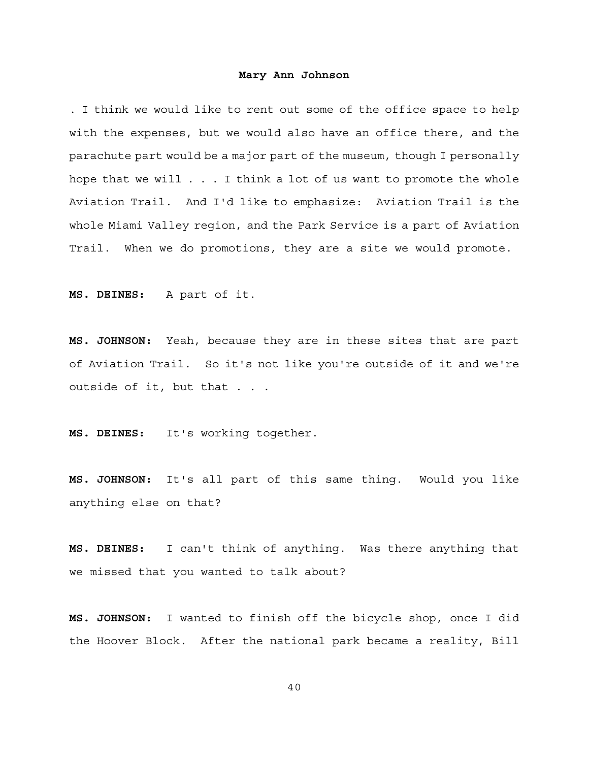. I think we would like to rent out some of the office space to help with the expenses, but we would also have an office there, and the parachute part would be a major part of the museum, though I personally hope that we will . . . I think a lot of us want to promote the whole Aviation Trail. And I'd like to emphasize: Aviation Trail is the whole Miami Valley region, and the Park Service is a part of Aviation Trail. When we do promotions, they are a site we would promote.

**MS. DEINES:** A part of it.

**MS. JOHNSON:** Yeah, because they are in these sites that are part of Aviation Trail. So it's not like you're outside of it and we're outside of it, but that . . .

**MS. DEINES:** It's working together.

**MS. JOHNSON:** It's all part of this same thing. Would you like anything else on that?

**MS. DEINES:** I can't think of anything. Was there anything that we missed that you wanted to talk about?

**MS. JOHNSON:** I wanted to finish off the bicycle shop, once I did the Hoover Block. After the national park became a reality, Bill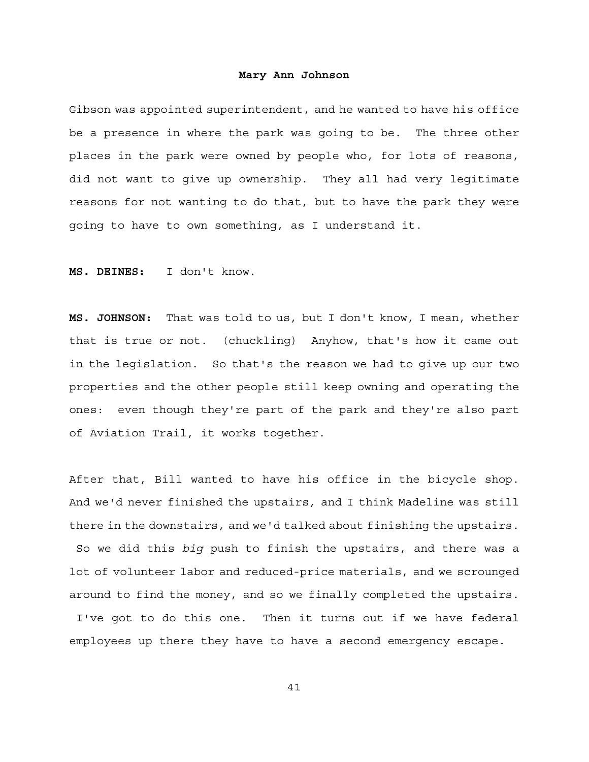Gibson was appointed superintendent, and he wanted to have his office be a presence in where the park was going to be. The three other places in the park were owned by people who, for lots of reasons, did not want to give up ownership. They all had very legitimate reasons for not wanting to do that, but to have the park they were going to have to own something, as I understand it.

**MS. DEINES:** I don't know.

**MS. JOHNSON:** That was told to us, but I don't know, I mean, whether that is true or not. (chuckling) Anyhow, that's how it came out in the legislation. So that's the reason we had to give up our two properties and the other people still keep owning and operating the ones: even though they're part of the park and they're also part of Aviation Trail, it works together.

After that, Bill wanted to have his office in the bicycle shop. And we'd never finished the upstairs, and I think Madeline was still there in the downstairs, and we'd talked about finishing the upstairs. So we did this *big* push to finish the upstairs, and there was a lot of volunteer labor and reduced-price materials, and we scrounged around to find the money, and so we finally completed the upstairs. I've got to do this one. Then it turns out if we have federal employees up there they have to have a second emergency escape.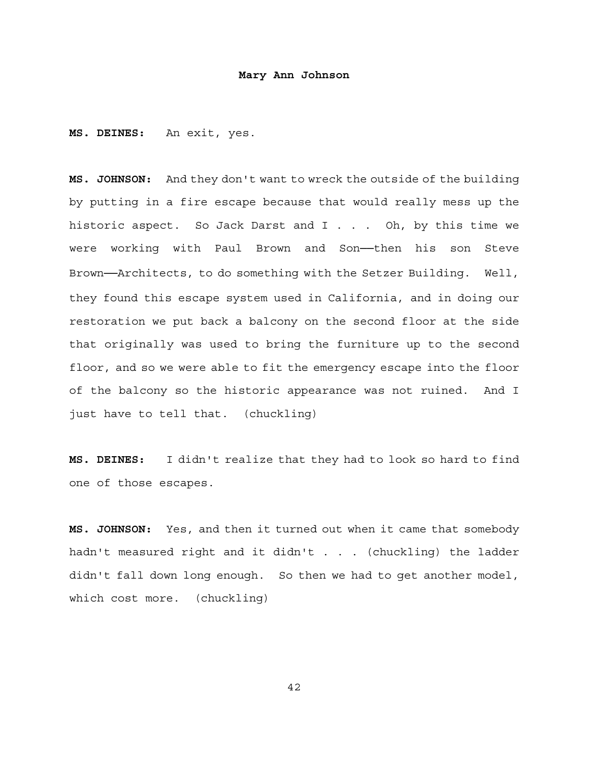**MS. DEINES:** An exit, yes.

**MS. JOHNSON:** And they don't want to wreck the outside of the building by putting in a fire escape because that would really mess up the historic aspect. So Jack Darst and I . . . Oh, by this time we were working with Paul Brown and Son--then his son Steve Brown──Architects, to do something with the Setzer Building. Well, they found this escape system used in California, and in doing our restoration we put back a balcony on the second floor at the side that originally was used to bring the furniture up to the second floor, and so we were able to fit the emergency escape into the floor of the balcony so the historic appearance was not ruined. And I just have to tell that. (chuckling)

**MS. DEINES:** I didn't realize that they had to look so hard to find one of those escapes.

**MS. JOHNSON:** Yes, and then it turned out when it came that somebody hadn't measured right and it didn't . . . (chuckling) the ladder didn't fall down long enough. So then we had to get another model, which cost more. (chuckling)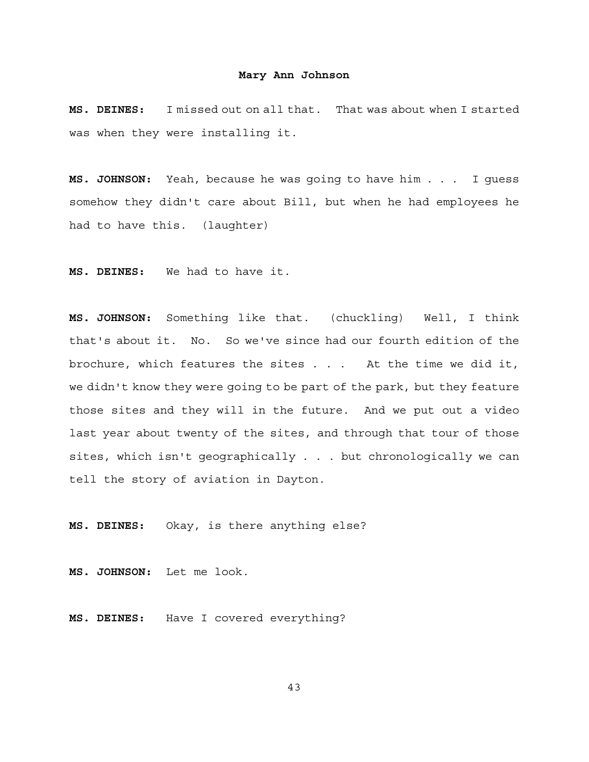**MS. DEINES:** I missed out on all that. That was about when I started was when they were installing it.

**MS. JOHNSON:** Yeah, because he was going to have him . . . I guess somehow they didn't care about Bill, but when he had employees he had to have this. (laughter)

**MS. DEINES:** We had to have it.

**MS. JOHNSON:** Something like that. (chuckling) Well, I think that's about it. No. So we've since had our fourth edition of the brochure, which features the sites . . . At the time we did it, we didn't know they were going to be part of the park, but they feature those sites and they will in the future. And we put out a video last year about twenty of the sites, and through that tour of those sites, which isn't geographically . . . but chronologically we can tell the story of aviation in Dayton.

**MS. DEINES:** Okay, is there anything else?

**MS. JOHNSON:** Let me look.

**MS. DEINES:** Have I covered everything?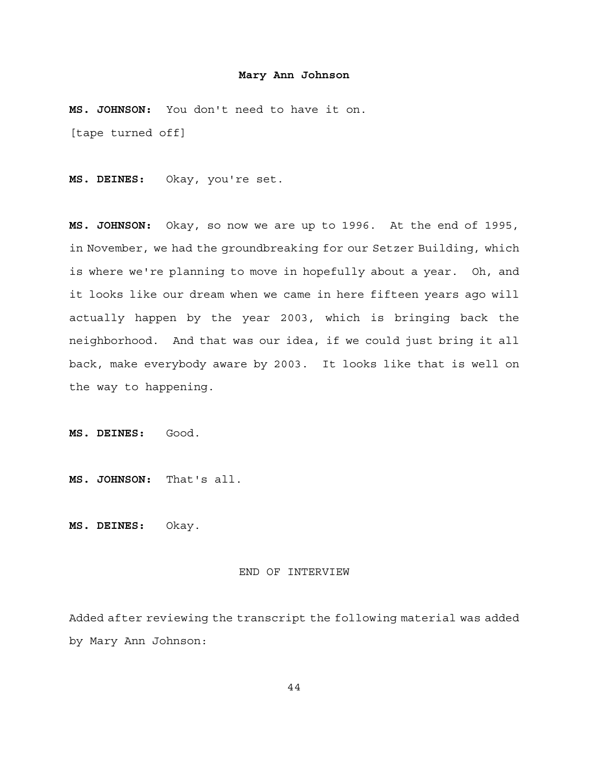**MS. JOHNSON:** You don't need to have it on. [tape turned off]

**MS. DEINES:** Okay, you're set.

**MS. JOHNSON:** Okay, so now we are up to 1996. At the end of 1995, in November, we had the groundbreaking for our Setzer Building, which is where we're planning to move in hopefully about a year. Oh, and it looks like our dream when we came in here fifteen years ago will actually happen by the year 2003, which is bringing back the neighborhood. And that was our idea, if we could just bring it all back, make everybody aware by 2003. It looks like that is well on the way to happening.

**MS. DEINES:** Good.

**MS. JOHNSON:** That's all.

**MS. DEINES:** Okay.

#### END OF INTERVIEW

Added after reviewing the transcript the following material was added by Mary Ann Johnson: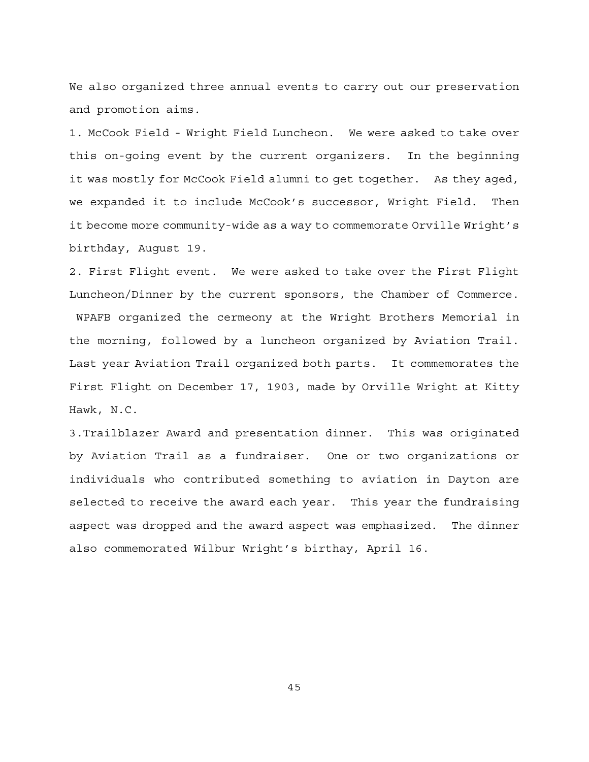We also organized three annual events to carry out our preservation and promotion aims.

1. McCook Field - Wright Field Luncheon. We were asked to take over this on-going event by the current organizers. In the beginning it was mostly for McCook Field alumni to get together. As they aged, we expanded it to include McCook's successor, Wright Field. Then it become more community-wide as a way to commemorate Orville Wright's birthday, August 19.

2. First Flight event. We were asked to take over the First Flight Luncheon/Dinner by the current sponsors, the Chamber of Commerce. WPAFB organized the cermeony at the Wright Brothers Memorial in the morning, followed by a luncheon organized by Aviation Trail. Last year Aviation Trail organized both parts. It commemorates the First Flight on December 17, 1903, made by Orville Wright at Kitty Hawk, N.C.

3.Trailblazer Award and presentation dinner. This was originated by Aviation Trail as a fundraiser. One or two organizations or individuals who contributed something to aviation in Dayton are selected to receive the award each year. This year the fundraising aspect was dropped and the award aspect was emphasized. The dinner also commemorated Wilbur Wright's birthay, April 16.